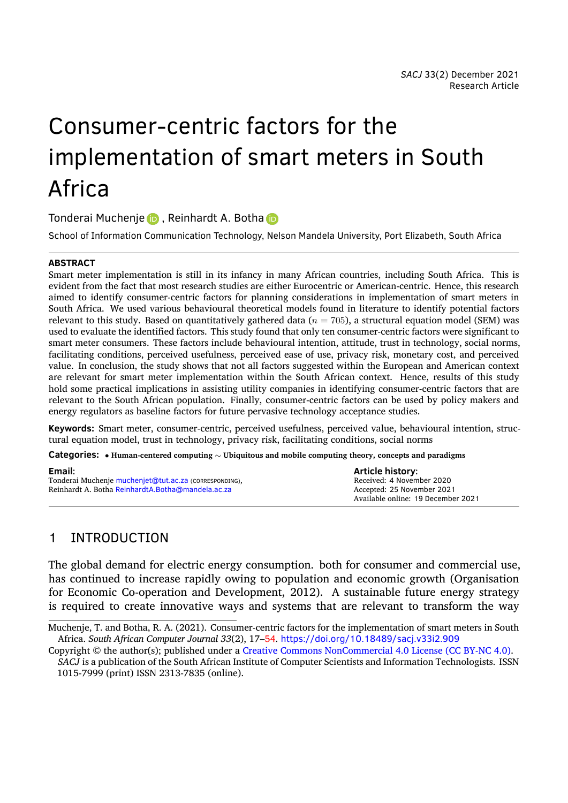# Consumer-centric factors for the implementation of smart meters in South Africa

Tonderai Muchenje **D**, Reinhardt A. Botha D

School of Information Communication Technology, Nelson Mandela University, Port Elizabeth, South Africa

#### **ABSTRACT**

Smart meter impleme[ntat](https://orcid.org/0000-0002-0181-2655)ion is still in its infancy [in](https://orcid.org/0000-0002-6176-3007) many African countries, including South Africa. This is evident from the fact that most research studies are either Eurocentric or American-centric. Hence, this research aimed to identify consumer-centric factors for planning considerations in implementation of smart meters in South Africa. We used various behavioural theoretical models found in literature to identify potential factors relevant to this study. Based on quantitatively gathered data ( $n = 705$ ), a structural equation model (SEM) was used to evaluate the identified factors. This study found that only ten consumer-centric factors were significant to smart meter consumers. These factors include behavioural intention, attitude, trust in technology, social norms, facilitating conditions, perceived usefulness, perceived ease of use, privacy risk, monetary cost, and perceived value. In conclusion, the study shows that not all factors suggested within the European and American context are relevant for smart meter implementation within the South African context. Hence, results of this study hold some practical implications in assisting utility companies in identifying consumer-centric factors that are relevant to the South African population. Finally, consumer-centric factors can be used by policy makers and energy regulators as baseline factors for future pervasive technology acceptance studies.

**Keywords:** Smart meter, consumer-centric, perceived usefulness, perceived value, behavioural intention, structural equation model, trust in technology, privacy risk, facilitating conditions, social norms

**Categories:** *•* **Human-centered computing** *<sup>∼</sup>* **Ubiquitous and mobile computing theory, concepts and paradigms**

| Email:                                                 | <b>Article history:</b>            |
|--------------------------------------------------------|------------------------------------|
| Tonderai Muchenje muchenjet@tut.ac.za (CORRESPONDING), | Received: 4 November 2020          |
| Reinhardt A. Botha ReinhardtA.Botha@mandela.ac.za      | Accepted: 25 November 2021         |
|                                                        | Available online: 19 December 2021 |

## 1 INTRO[DUCTION](mailto:ReinhardtA.Botha@mandela.ac.za)

The global demand for electric energy consumption. both for consumer and commercial use, has continued to increase rapidly owing to population and economic growth (Organisation for Economic Co-operation and Development, 2012). A sustainable future energy strategy is required to create innovative ways and systems that are relevant to transform the way

Muchenje, T. and Botha, R. A. (2021). Consumer-centric factors for the implementation of smart meters in South Africa. *South African Computer Journal 33*(2), 17–54. ht[tps://d](#page-30-0)oi.org/10.18489/sacj.v33i2.909

Copyright © the author(s); published under a Creative Commons NonCommercial 4.0 License (CC BY-NC 4.0).

*SACJ* is a publication of the South African Institute of Computer Scientists and Information Technologists. ISSN 1015-7999 (print) ISSN 2313-7835 (online).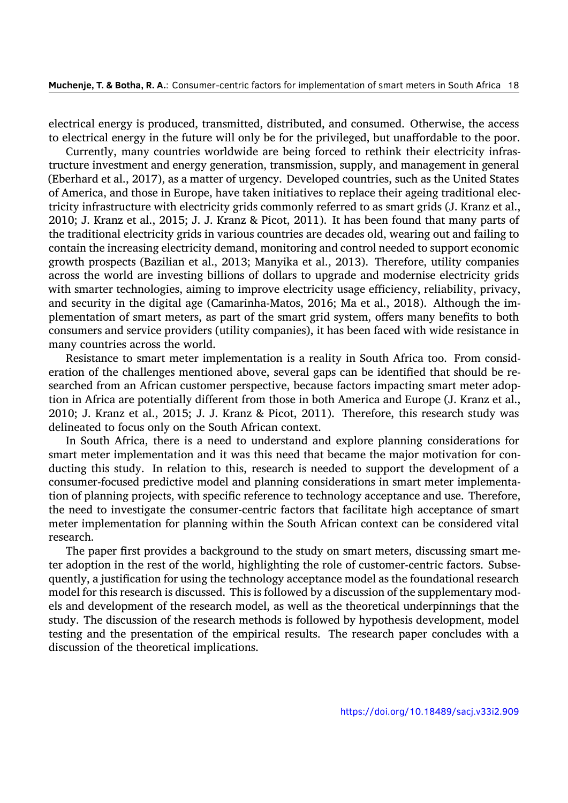electrical energy is produced, transmitted, distributed, and consumed. Otherwise, the access to electrical energy in the future will only be for the privileged, but unaffordable to the poor.

Currently, many countries worldwide are being forced to rethink their electricity infrastructure investment and energy generation, transmission, supply, and management in general (Eberhard et al., 2017), as a matter of urgency. Developed countries, such as the United States of America, and those in Europe, have taken initiatives to replace their ageing traditional electricity infrastructure with electricity grids commonly referred to as smart grids (J. Kranz et al., 2010; J. Kranz [et al.,](#page-27-0) 2015; J. J. Kranz & Picot, 2011). It has been found that many parts of the traditional electricity grids in various countries are decades old, wearing out and failing to contain the increasing electricity demand, monitoring and control needed to support economic [growt](#page-28-0)h prospects (Ba[zilian](#page-28-1) et al., 2013; Manyik[a et a](#page-28-2)l., 2013). Therefore, utility companies across the world are investing billions of dollars to upgrade and modernise electricity grids with smarter technologies, aiming to improve electricity usage efficiency, reliability, privacy, and security in the digital age (C[amari](#page-26-0)nha-Matos, 2016[; Ma e](#page-29-0)t al., 2018). Although the implementation of smart meters, as part of the smart grid system, offers many benefits to both consumers and service providers (utility companies), it has been faced with wide resistance in many countries across the world.

Resistance to smart meter implementation is a [realit](#page-26-1)y in South [Africa](#page-29-1) too. From consideration of the challenges mentioned above, several gaps can be identified that should be researched from an African customer perspective, because factors impacting smart meter adoption in Africa are potentially different from those in both America and Europe (J. Kranz et al., 2010; J. Kranz et al., 2015; J. J. Kranz & Picot, 2011). Therefore, this research study was delineated to focus only on the South African context.

In South Africa, there is a need to understand and explore planning considerations for [smart](#page-28-0) meter impleme[ntation](#page-28-1) and it was this need [that](#page-28-2) became the major motivation for conducting this study. In relation to this, research is needed to support the development of a consumer-focused predictive model and planning considerations in smart meter implementation of planning projects, with specific reference to technology acceptance and use. Therefore, the need to investigate the consumer-centric factors that facilitate high acceptance of smart meter implementation for planning within the South African context can be considered vital research.

The paper first provides a background to the study on smart meters, discussing smart meter adoption in the rest of the world, highlighting the role of customer-centric factors. Subsequently, a justification for using the technology acceptance model as the foundational research model for this research is discussed. This is followed by a discussion of the supplementary models and development of the research model, as well as the theoretical underpinnings that the study. The discussion of the research methods is followed by hypothesis development, model testing and the presentation of the empirical results. The research paper concludes with a discussion of the theoretical implications.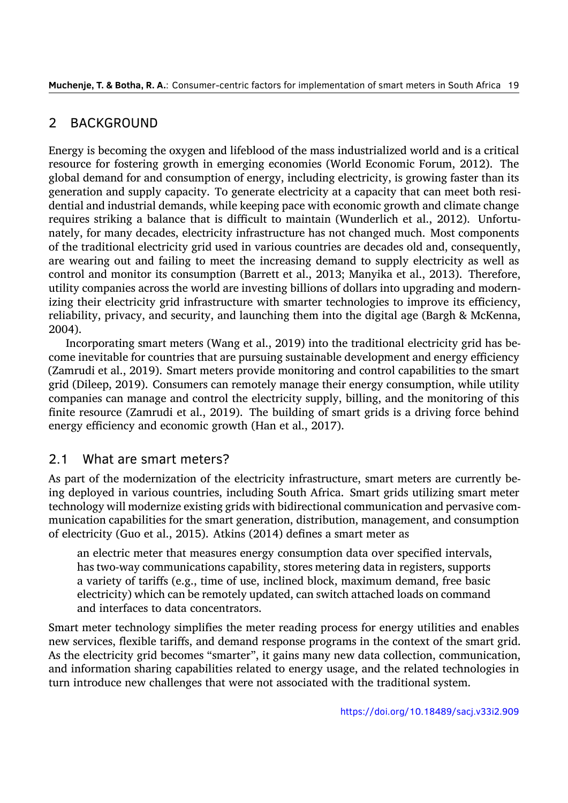## 2 BACKGROUND

Energy is becoming the oxygen and lifeblood of the mass industrialized world and is a critical resource for fostering growth in emerging economies (World Economic Forum, 2012). The global demand for and consumption of energy, including electricity, is growing faster than its generation and supply capacity. To generate electricity at a capacity that can meet both residential and industrial demands, while keeping pace with economic growth and cli[mate c](#page-32-0)hange requires striking a balance that is difficult to maintain (Wunderlich et al., 2012). Unfortunately, for many decades, electricity infrastructure has not changed much. Most components of the traditional electricity grid used in various countries are decades old and, consequently, are wearing out and failing to meet the increasing demand to supply elec[tricity](#page-32-1) as well as control and monitor its consumption (Barrett et al., 2013; Manyika et al., 2013). Therefore, utility companies across the world are investing billions of dollars into upgrading and modernizing their electricity grid infrastructure with smarter technologies to improve its efficiency, reliability, privacy, and security, and launching the[m into](#page-26-2) the digital age ([Bargh](#page-29-0) & McKenna, 2004).

Incorporating smart meters (Wang et al., 2019) into the traditional electricity grid has become inevitable for countries that are pursuing sustainable development and energy efficiency [\(Zamr](#page-25-0)udi et al., 2019). Smart meters provide monitoring and control capabilities to the smart grid (Dileep, 2019). Consumers can remotel[y man](#page-32-2)age their energy consumption, while utility companies can manage and control the electricity supply, billing, and the monitoring of this finite resource [\(Zamr](#page-32-3)udi et al., 2019). The building of smart grids is a driving force behind energy effici[ency a](#page-27-1)nd economic growth (Han et al., 2017).

## 2.1 What are smart met[ers?](#page-32-3)

As part of the modernization of the electricity infr[astruc](#page-28-3)ture, smart meters are currently being deployed in various countries, including South Africa. Smart grids utilizing smart meter technology will modernize existing grids with bidirectional communication and pervasive communication capabilities for the smart generation, distribution, management, and consumption of electricity (Guo et al., 2015). Atkins (2014) defines a smart meter as

an electric meter that measures energy consumption data over specified intervals, has two-way communications capability, stores metering data in registers, supports a variety of tariffs [\(e.g., t](#page-27-2)ime of us[e, incl](#page-25-1)ined block, maximum demand, free basic electricity) which can be remotely updated, can switch attached loads on command and interfaces to data concentrators.

Smart meter technology simplifies the meter reading process for energy utilities and enables new services, flexible tariffs, and demand response programs in the context of the smart grid. As the electricity grid becomes "smarter", it gains many new data collection, communication, and information sharing capabilities related to energy usage, and the related technologies in turn introduce new challenges that were not associated with the traditional system.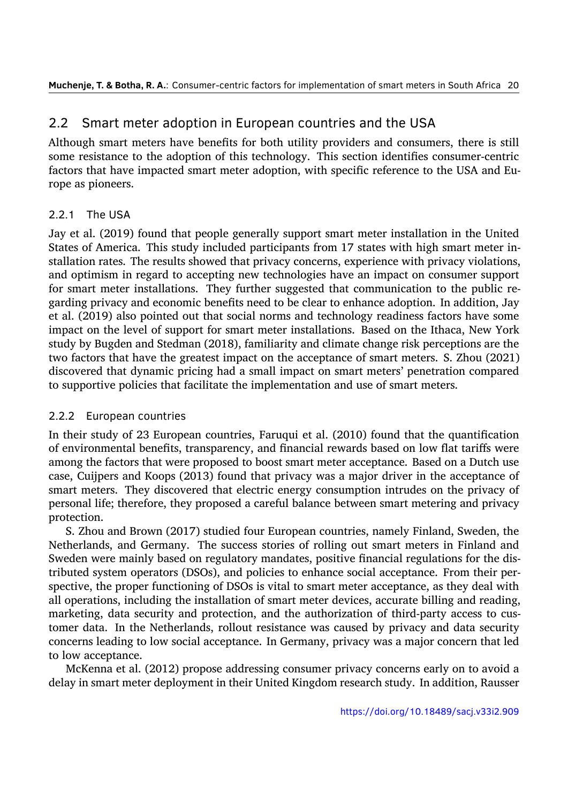## 2.2 Smart meter adoption in European countries and the USA

Although smart meters have benefits for both utility providers and consumers, there is still some resistance to the adoption of this technology. This section identifies consumer-centric factors that have impacted smart meter adoption, with specific reference to the USA and Europe as pioneers.

#### 2.2.1 The USA

Jay et al. (2019) found that people generally support smart meter installation in the United States of America. This study included participants from 17 states with high smart meter installation rates. The results showed that privacy concerns, experience with privacy violations, and optim[ism in](#page-28-4) regard to accepting new technologies have an impact on consumer support for smart meter installations. They further suggested that communication to the public regarding privacy and economic benefits need to be clear to enhance adoption. In addition, Jay et al. (2019) also pointed out that social norms and technology readiness factors have some impact on the level of support for smart meter installations. Based on the Ithaca, New York study by Bugden and Stedman (2018), familiarity and climate change risk perceptions are the two fa[ctors](#page-28-4) that have the greatest impact on the acceptance of smart meters. S. Zhou (2021) discovered that dynamic pricing had a small impact on smart meters' penetration compared to supportive policies that facil[itate t](#page-26-3)he implementation and use of smart meters.

#### 2.2.2 European countries

In their study of 23 European countries, Faruqui et al. (2010) found that the quantification of environmental benefits, transparency, and financial rewards based on low flat tariffs were among the factors that were proposed to boost smart meter acceptance. Based on a Dutch use case, Cuijpers and Koops (2013) found that privacy was [a ma](#page-27-3)jor driver in the acceptance of smart meters. They discovered that electric energy consumption intrudes on the privacy of personal life; therefore, they proposed a careful balance between smart metering and privacy protection.

S. Zhou and Brown (20[17\) st](#page-26-4)udied four European countries, namely Finland, Sweden, the Netherlands, and Germany. The success stories of rolling out smart meters in Finland and Sweden were mainly based on regulatory mandates, positive financial regulations for the distributed system operato[rs \(DS](#page-33-0)Os), and policies to enhance social acceptance. From their perspective, the proper functioning of DSOs is vital to smart meter acceptance, as they deal with all operations, including the installation of smart meter devices, accurate billing and reading, marketing, data security and protection, and the authorization of third-party access to customer data. In the Netherlands, rollout resistance was caused by privacy and data security concerns leading to low social acceptance. In Germany, privacy was a major concern that led to low acceptance.

McKenna et al. (2012) propose addressing consumer privacy concerns early on to avoid a delay in smart meter deployment in their United Kingdom research study. In addition, Rausser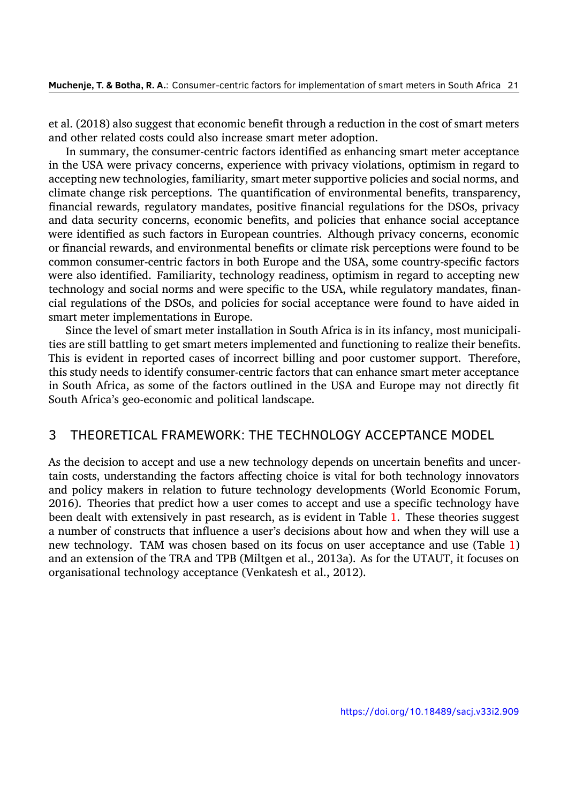et al. (2018) also suggest that economic benefit through a reduction in the cost of smart meters and other related costs could also increase smart meter adoption.

In summary, the consumer-centric factors identified as enhancing smart meter acceptance in the [USA](#page-30-1) were privacy concerns, experience with privacy violations, optimism in regard to accepting new technologies, familiarity, smart meter supportive policies and social norms, and climate change risk perceptions. The quantification of environmental benefits, transparency, financial rewards, regulatory mandates, positive financial regulations for the DSOs, privacy and data security concerns, economic benefits, and policies that enhance social acceptance were identified as such factors in European countries. Although privacy concerns, economic or financial rewards, and environmental benefits or climate risk perceptions were found to be common consumer-centric factors in both Europe and the USA, some country-specific factors were also identified. Familiarity, technology readiness, optimism in regard to accepting new technology and social norms and were specific to the USA, while regulatory mandates, financial regulations of the DSOs, and policies for social acceptance were found to have aided in smart meter implementations in Europe.

Since the level of smart meter installation in South Africa is in its infancy, most municipalities are still battling to get smart meters implemented and functioning to realize their benefits. This is evident in reported cases of incorrect billing and poor customer support. Therefore, this study needs to identify consumer-centric factors that can enhance smart meter acceptance in South Africa, as some of the factors outlined in the USA and Europe may not directly fit South Africa's geo-economic and political landscape.

## 3 THEORETICAL FRAMEWORK: THE TECHNOLOGY ACCEPTANCE MODEL

As the decision to accept and use a new technology depends on uncertain benefits and uncertain costs, understanding the factors affecting choice is vital for both technology innovators and policy makers in relation to future technology developments (World Economic Forum, 2016). Theories that predict how a user comes to accept and use a specific technology have been dealt with extensively in past research, as is evident in Table 1. These theories suggest a number of constructs that influence a user's decisions about how and when they will use a [new t](#page-32-4)echnology. TAM was chosen based on its focus on user acceptance and use (Table 1) and an extension of the TRA and TPB (Miltgen et al., 2013a). As fo[r t](#page-5-0)he UTAUT, it focuses on organisational technology acceptance (Venkatesh et al., 2012).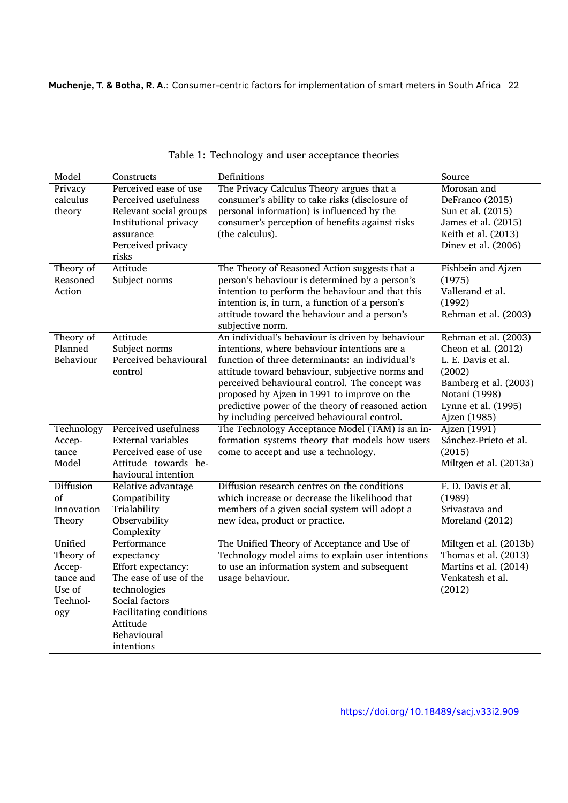<span id="page-5-0"></span>

| Model                                                                    | Constructs                                                                                                                                                                      | Definitions                                                                                                                                                                                                                                                                                                                                                                                                 | Source                                                                                                                                                       |
|--------------------------------------------------------------------------|---------------------------------------------------------------------------------------------------------------------------------------------------------------------------------|-------------------------------------------------------------------------------------------------------------------------------------------------------------------------------------------------------------------------------------------------------------------------------------------------------------------------------------------------------------------------------------------------------------|--------------------------------------------------------------------------------------------------------------------------------------------------------------|
| Privacy<br>calculus<br>theory                                            | Perceived ease of use<br>Perceived usefulness<br>Relevant social groups                                                                                                         | The Privacy Calculus Theory argues that a<br>consumer's ability to take risks (disclosure of<br>personal information) is influenced by the                                                                                                                                                                                                                                                                  | Morosan and<br>DeFranco (2015)<br>Sun et al. (2015)                                                                                                          |
|                                                                          | Institutional privacy<br>assurance<br>Perceived privacy<br>risks                                                                                                                | consumer's perception of benefits against risks<br>(the calculus).                                                                                                                                                                                                                                                                                                                                          | James et al. (2015)<br>Keith et al. (2013)<br>Dinev et al. (2006)                                                                                            |
| Theory of<br>Reasoned<br>Action                                          | Attitude<br>Subject norms                                                                                                                                                       | The Theory of Reasoned Action suggests that a<br>person's behaviour is determined by a person's<br>intention to perform the behaviour and that this<br>intention is, in turn, a function of a person's<br>attitude toward the behaviour and a person's<br>subjective norm.                                                                                                                                  | <b>Fishbein and Ajzen</b><br>(1975)<br>Vallerand et al.<br>(1992)<br>Rehman et al. (2003)                                                                    |
| Theory of<br>Planned<br>Behaviour                                        | Attitude<br>Subject norms<br>Perceived behavioural<br>control                                                                                                                   | An individual's behaviour is driven by behaviour<br>intentions, where behaviour intentions are a<br>function of three determinants: an individual's<br>attitude toward behaviour, subjective norms and<br>perceived behavioural control. The concept was<br>proposed by Ajzen in 1991 to improve on the<br>predictive power of the theory of reasoned action<br>by including perceived behavioural control. | Rehman et al. (2003)<br>Cheon et al. (2012)<br>L. E. Davis et al.<br>(2002)<br>Bamberg et al. (2003)<br>Notani (1998)<br>Lynne et al. (1995)<br>Ajzen (1985) |
| Technology<br>Accep-<br>tance<br>Model                                   | Perceived usefulness<br><b>External variables</b><br>Perceived ease of use<br>Attitude towards be-<br>havioural intention                                                       | The Technology Acceptance Model (TAM) is an in-<br>formation systems theory that models how users<br>come to accept and use a technology.                                                                                                                                                                                                                                                                   | Ajzen (1991)<br>Sánchez-Prieto et al.<br>(2015)<br>Miltgen et al. (2013a)                                                                                    |
| <b>Diffusion</b><br>of<br>Innovation<br>Theory                           | Relative advantage<br>Compatibility<br>Trialability<br>Observability<br>Complexity                                                                                              | Diffusion research centres on the conditions<br>which increase or decrease the likelihood that<br>members of a given social system will adopt a<br>new idea, product or practice.                                                                                                                                                                                                                           | F. D. Davis et al.<br>(1989)<br>Srivastava and<br>Moreland (2012)                                                                                            |
| Unified<br>Theory of<br>Accep-<br>tance and<br>Use of<br>Technol-<br>ogy | Performance<br>expectancy<br>Effort expectancy:<br>The ease of use of the<br>technologies<br>Social factors<br>Facilitating conditions<br>Attitude<br>Behavioural<br>intentions | The Unified Theory of Acceptance and Use of<br>Technology model aims to explain user intentions<br>to use an information system and subsequent<br>usage behaviour.                                                                                                                                                                                                                                          | Miltgen et al. (2013b)<br>Thomas et al. (2013)<br>Martins et al. (2014)<br>Venkatesh et al.<br>(2012)                                                        |

#### Table 1: Technology and user acceptance theories

https://doi.org/10.18489/sacj.v33i2.909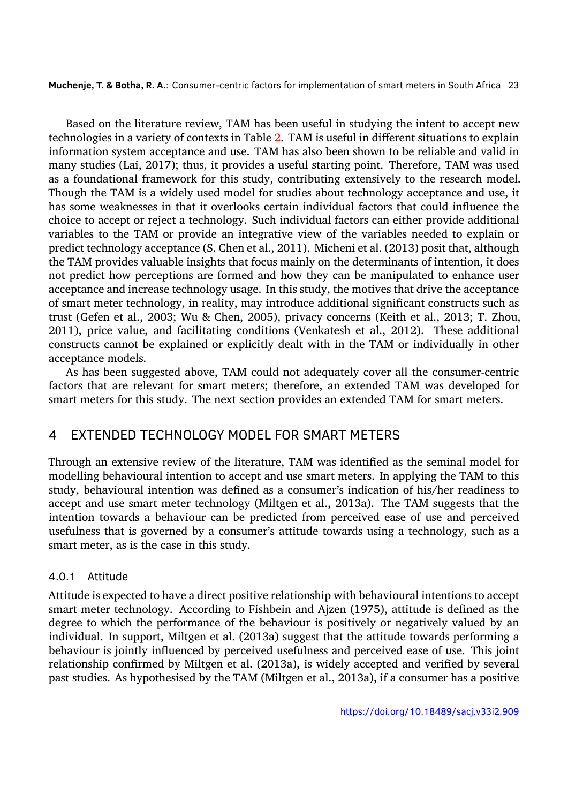Based on the literature review, TAM has been useful in studying the intent to accept new technologies in a variety of contexts in Table 2. TAM is useful in different situations to explain information system acceptance and use. TAM has also been shown to be reliable and valid in many studies (Lai, 2017); thus, it provides a useful starting point. Therefore, TAM was used as a foundational framework for this study, [c](#page-7-0)ontributing extensively to the research model. Though the TAM is a widely used model for studies about technology acceptance and use, it has some weaknes[ses in](#page-29-4) that it overlooks certain individual factors that could influence the choice to accept or reject a technology. Such individual factors can either provide additional variables to the TAM or provide an integrative view of the variables needed to explain or predict technology acceptance (S. Chen et al., 2011). Micheni et al. (2013) posit that, although the TAM provides valuable insights that focus mainly on the determinants of intention, it does not predict how perceptions are formed and how they can be manipulated to enhance user acceptance and increase technology usage. In [this s](#page-26-8)tudy, the motive[s that](#page-29-5) drive the acceptance of smart meter technology, in reality, may introduce additional significant constructs such as trust (Gefen et al., 2003; Wu & Chen, 2005), privacy concerns (Keith et al., 2013; T. Zhou, 2011), price value, and facilitating conditions (Venkatesh et al., 2012). These additional constructs cannot be explained or explicitly dealt with in the TAM or individually in other acceptance models.

As has been su[ggeste](#page-27-6)d above, TAM [could](#page-32-5) not adequately cover [all th](#page-32-6)e co[nsum](#page-28-6)er-centric [factor](#page-33-1)s that are relevant for smart meters; therefore, an extended TAM was developed for smart meters for this study. The next section provides an extended TAM for smart meters.

## 4 EXTENDED TECHNOLOGY MODEL FOR SMART METERS

Through an extensive review of the literature, TAM was identified as the seminal model for modelling behavioural intention to accept and use smart meters. In applying the TAM to this study, behavioural intention was defined as a consumer's indication of his/her readiness to accept and use smart meter technology (Miltgen et al., 2013a). The TAM suggests that the intention towards a behaviour can be predicted from perceived ease of use and perceived usefulness that is governed by a consumer's attitude towards using a technology, such as a smart meter, as is the case in this study.

#### 4.0.1 Attitude

Attitude is expected to have a direct positive relationship with behavioural intentions to accept smart meter technology. According to Fishbein and Ajzen (1975), attitude is defined as the degree to which the performance of the behaviour is positively or negatively valued by an individual. In support, Miltgen et al. (2013a) suggest that the attitude towards performing a behaviour is jointly influenced by perceived usefulness and [perce](#page-27-5)ived ease of use. This joint relationship confirmed by Miltgen et al. (2013a), is widely accepted and verified by several past studies. As hypothesised by the T[AM \(M](#page-29-3)iltgen et al., 2013a), if a consumer has a positive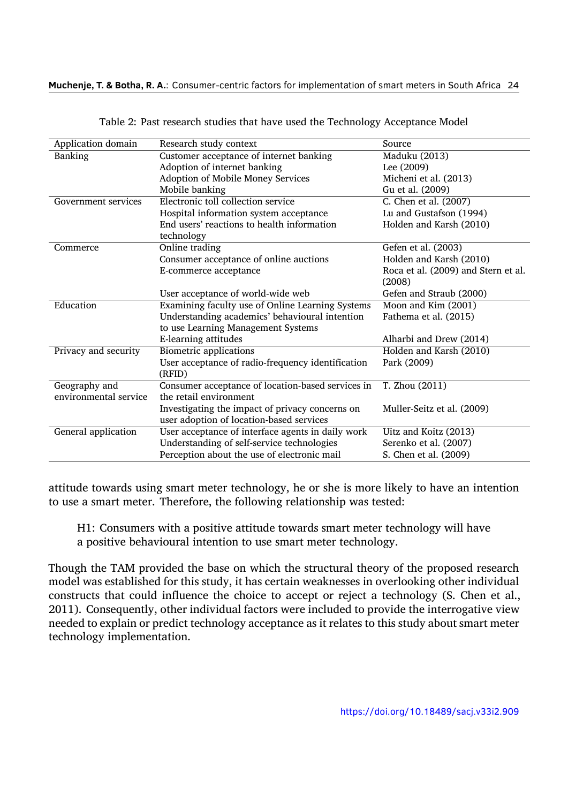<span id="page-7-0"></span>

| Application domain    | Research study context                            | Source                              |
|-----------------------|---------------------------------------------------|-------------------------------------|
| <b>Banking</b>        | Customer acceptance of internet banking           | Maduku (2013)                       |
|                       | Adoption of internet banking                      | Lee (2009)                          |
|                       | Adoption of Mobile Money Services                 | Micheni et al. (2013)               |
|                       | Mobile banking                                    | Gu et al. (2009)                    |
| Government services   | Electronic toll collection service                | C. Chen et al. (2007)               |
|                       | Hospital information system acceptance            | Lu and Gustafson (1994)             |
|                       | End users' reactions to health information        | Holden and Karsh (2010)             |
|                       | technology                                        |                                     |
| Commerce              | Online trading                                    | Gefen et al. (2003)                 |
|                       | Consumer acceptance of online auctions            | Holden and Karsh (2010)             |
|                       | E-commerce acceptance                             | Roca et al. (2009) and Stern et al. |
|                       |                                                   | (2008)                              |
|                       | User acceptance of world-wide web                 | Gefen and Straub (2000)             |
| Education             | Examining faculty use of Online Learning Systems  | Moon and Kim (2001)                 |
|                       | Understanding academics' behavioural intention    | Fathema et al. (2015)               |
|                       | to use Learning Management Systems                |                                     |
|                       | E-learning attitudes                              | Alharbi and Drew (2014)             |
| Privacy and security  | <b>Biometric applications</b>                     | Holden and Karsh (2010)             |
|                       | User acceptance of radio-frequency identification | Park (2009)                         |
|                       | (RFID)                                            |                                     |
| Geography and         | Consumer acceptance of location-based services in | T. Zhou (2011)                      |
| environmental service | the retail environment                            |                                     |
|                       | Investigating the impact of privacy concerns on   | Muller-Seitz et al. (2009)          |
|                       | user adoption of location-based services          |                                     |
| General application   | User acceptance of interface agents in daily work | Uitz and Koitz (2013)               |
|                       | Understanding of self-service technologies        | Serenko et al. (2007)               |
|                       | Perception about the use of electronic mail       | S. Chen et al. (2009)               |

Table 2: Past research studies that have used the Technology Acceptance Model

attitude towards using smart meter technology, he or she is more likely to ha[ve an](#page-31-5) intention to use a smart meter. Therefore, the following relationship was tested:

H1: Consumers with a positive attitude towards smart meter technology will have a positive behavioural intention to use smart meter technology.

Though the TAM provided the base on which the structural theory of the proposed research model was established for this study, it has certain weaknesses in overlooking other individual constructs that could influence the choice to accept or reject a technology (S. Chen et al., 2011). Consequently, other individual factors were included to provide the interrogative view needed to explain or predict technology acceptance as it relates to this study about smart meter technology implementation.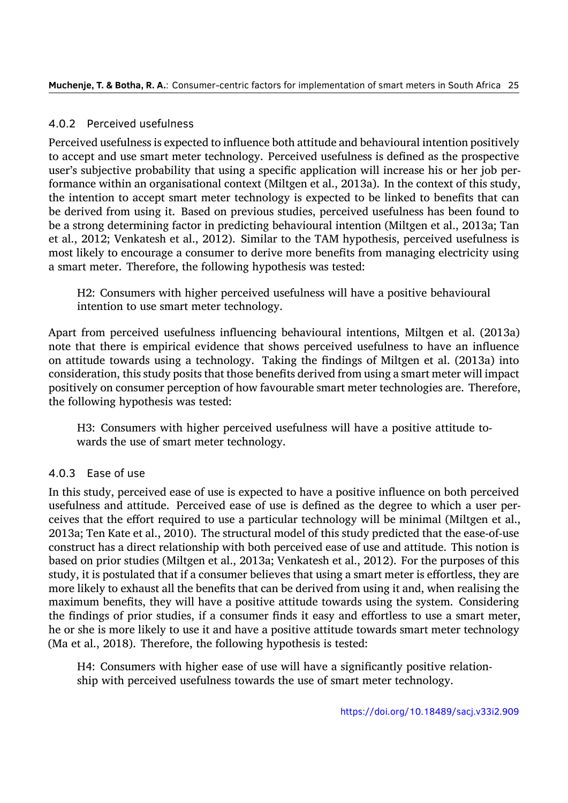#### 4.0.2 Perceived usefulness

Perceived usefulness is expected to influence both attitude and behavioural intention positively to accept and use smart meter technology. Perceived usefulness is defined as the prospective user's subjective probability that using a specific application will increase his or her job performance within an organisational context (Miltgen et al., 2013a). In the context of this study, the intention to accept smart meter technology is expected to be linked to benefits that can be derived from using it. Based on previous studies, perceived usefulness has been found to be a strong determining factor in predicting behaviourali[ntentio](#page-29-3)n (Miltgen et al., 2013a; Tan et al., 2012; Venkatesh et al., 2012). Similar to the TAM hypothesis, perceived usefulness is most likely to encourage a consumer to derive more benefits from managing electricity using a smart meter. Therefore, the following hypothesis was tested:

[H2: C](#page-31-6)onsumers with hig[her pe](#page-32-6)rceived usefulness will have a positive behavioural intention to use smart meter technology.

Apart from perceived usefulness influencing behavioural intentions, Miltgen et al. (2013a) note that there is empirical evidence that shows perceived usefulness to have an influence on attitude towards using a technology. Taking the findings of Miltgen et al. (2013a) into consideration, this study posits that those benefits derived from using a smart meter will [impact](#page-29-3) positively on consumer perception of how favourable smart meter technologies are. Therefore, the following hypothesis was tested:

H3: Consumers with higher perceived usefulness will have a positive attitude towards the use of smart meter technology.

#### 4.0.3 Ease of use

In this study, perceived ease of use is expected to have a positive influence on both perceived usefulness and attitude. Perceived ease of use is defined as the degree to which a user perceives that the effort required to use a particular technology will be minimal (Miltgen et al., 2013a; Ten Kate et al., 2010). The structural model of this study predicted that the ease-of-use construct has a direct relationship with both perceived ease of use and attitude. This notion is based on prior studies (Miltgen et al., 2013a; Venkatesh et al., 2012). For the purposes of this [study,](#page-29-3) it is postulatedt[hat if](#page-31-7) a consumer believes that using a smart meter is effortless, they are more likely to exhaust all the benefits that can be derived from using it and, when realising the maximum benefits, they will have a [positive](#page-29-3) attitude towards [using](#page-32-6) the system. Considering the findings of prior studies, if a consumer finds it easy and effortless to use a smart meter, he or she is more likely to use it and have a positive attitude towards smart meter technology (Ma et al., 2018). Therefore, the following hypothesis is tested:

H4: Consumers with higher ease of use will have a significantly positive relationship [with p](#page-29-1)erceived usefulness towards the use of smart meter technology.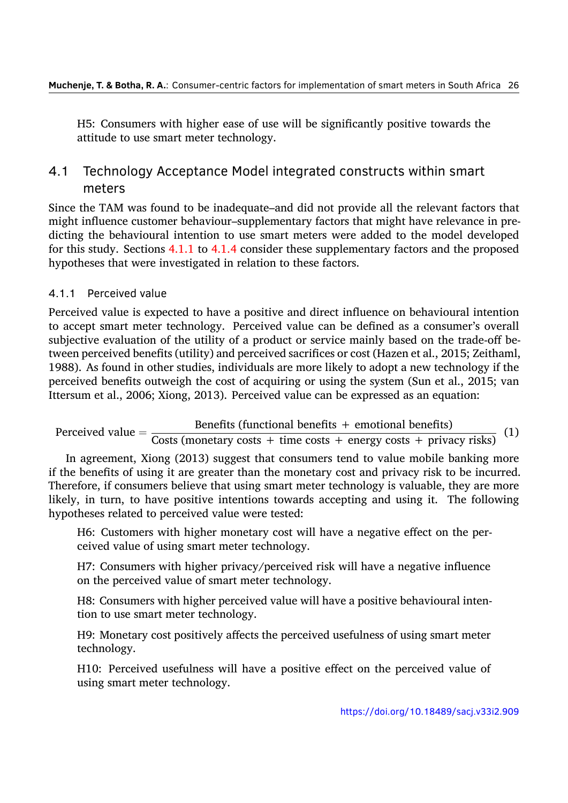H5: Consumers with higher ease of use will be significantly positive towards the attitude to use smart meter technology.

## 4.1 Technology Acceptance Model integrated constructs within smart meters

Since the TAM was found to be inadequate–and did not provide all the relevant factors that might influence customer behaviour–supplementary factors that might have relevance in predicting the behavioural intention to use smart meters were added to the model developed for this study. Sections 4.1.1 to 4.1.4 consider these supplementary factors and the proposed hypotheses that were investigated in relation to these factors.

#### 4.1.1 Perceived value

Perceived value is expected to have a positive and direct influence on behavioural intention to accept smart meter technology. Perceived value can be defined as a consumer's overall subjective evaluation of the utility of a product or service mainly based on the trade-off between perceived benefits (utility) and perceived sacrifices or cost (Hazen et al., 2015; Zeithaml, 1988). As found in other studies, individuals are more likely to adopt a new technology if the perceived benefits outweigh the cost of acquiring or using the system (Sun et al., 2015; van Ittersum et al., 2006; Xiong, 2013). Perceived value can be expressed as an e[quatio](#page-28-8)n:

Perceived val[ue](#page-32-7)  $=$  Benefits (functional benefits + emotional benefits)

 $\frac{3}{2}$ Costs ([moneta](#page-32-8)ry costs + time costs + energy costs + privacy [risks\)](#page-31-0) (1)

In agreement, Xiong (2013) suggest that consumers tend to value mobile banking more if the benefits of using it are greater than the monetary cost and privacy risk to be incurred. Therefore, if consumers believe that using smart meter technology is valuable, they are more likely, in turn, to have [positiv](#page-32-8)e intentions towards accepting and using it. The following hypotheses related to perceived value were tested:

H6: Customers with higher monetary cost will have a negative effect on the perceived value of using smart meter technology.

H7: Consumers with higher privacy/perceived risk will have a negative influence on the perceived value of smart meter technology.

H8: Consumers with higher perceived value will have a positive behavioural intention to use smart meter technology.

H9: Monetary cost positively affects the perceived usefulness of using smart meter technology.

H10: Perceived usefulness will have a positive effect on the perceived value of using smart meter technology.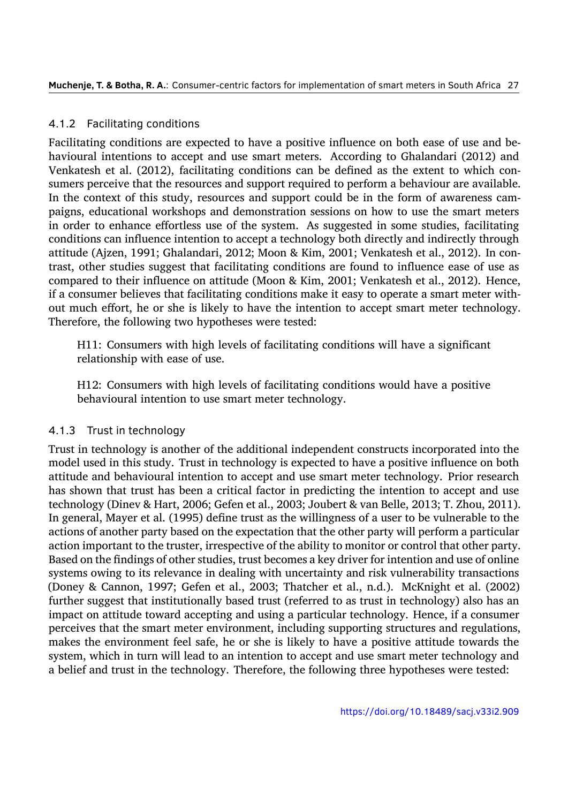#### 4.1.2 Facilitating conditions

Facilitating conditions are expected to have a positive influence on both ease of use and behavioural intentions to accept and use smart meters. According to Ghalandari (2012) and Venkatesh et al. (2012), facilitating conditions can be defined as the extent to which consumers perceive that the resources and support required to perform a behaviour are available. In the context of this study, resources and support could be in the form of awar[eness](#page-27-10) campaigns, education[al wo](#page-32-6)rkshops and demonstration sessions on how to use the smart meters in order to enhance effortless use of the system. As suggested in some studies, facilitating conditions can influence intention to accept a technology both directly and indirectly through attitude (Ajzen, 1991; Ghalandari, 2012; Moon & Kim, 2001; Venkatesh et al., 2012). In contrast, other studies suggest that facilitating conditions are found to influence ease of use as compared to their influence on attitude (Moon & Kim, 2001; Venkatesh et al., 2012). Hence, if a consumer b[elieves](#page-25-4) that facilitat[ing co](#page-27-10)nditions make [it eas](#page-30-8)y to operate a sm[art me](#page-32-6)ter without much effort, he or she is likely to have the intention to accept smart meter technology. Therefore, the following two hypotheses were tested:

H11: Consumers with high levels of facilitating conditions will have a significant relationship with ease of use.

H12: Consumers with high levels of facilitating conditions would have a positive behavioural intention to use smart meter technology.

#### 4.1.3 Trust in technology

Trust in technology is another of the additional independent constructs incorporated into the model used in this study. Trust in technology is expected to have a positive influence on both attitude and behavioural intention to accept and use smart meter technology. Prior research has shown that trust has been a critical factor in predicting the intention to accept and use technology (Dinev & Hart, 2006; Gefen et al., 2003; Joubert & van Belle, 2013; T. Zhou, 2011). In general, Mayer et al. (1995) define trust as the willingness of a user to be vulnerable to the actions of another party based on the expectation that the other party will perform a particular action important to the tru[ster, i](#page-27-11)rrespective of [the a](#page-27-6)bility to monitor or c[ontrol](#page-28-9) that othe[r party](#page-33-1). Based on the findings of [other s](#page-29-9)tudies, trust becomes a key driver for intention and use of online systems owing to its relevance in dealing with uncertainty and risk vulnerability transactions (Doney & Cannon, 1997; Gefen et al., 2003; Thatcher et al., n.d.). McKnight et al. (2002) further suggest that institutionally based trust (referred to as trust in technology) also has an impact on attitude toward accepting and using a particular technology. Hence, if a consumer perceives that thes[mart](#page-27-12) meter environ[ment,](#page-27-6) including support[ing s](#page-31-8)tructures and regul[ations](#page-29-10), makes the environment feel safe, he or she is likely to have a positive attitude towards the system, which in turn will lead to an intention to accept and use smart meter technology and a belief and trust in the technology. Therefore, the following three hypotheses were tested: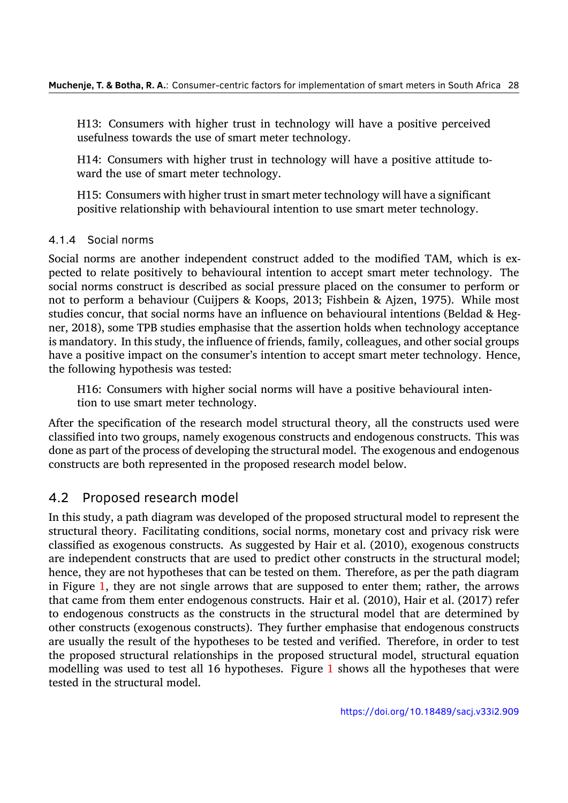H13: Consumers with higher trust in technology will have a positive perceived usefulness towards the use of smart meter technology.

H14: Consumers with higher trust in technology will have a positive attitude toward the use of smart meter technology.

H15: Consumers with higher trust in smart meter technology will have a significant positive relationship with behavioural intention to use smart meter technology.

#### 4.1.4 Social norms

Social norms are another independent construct added to the modified TAM, which is expected to relate positively to behavioural intention to accept smart meter technology. The social norms construct is described as social pressure placed on the consumer to perform or not to perform a behaviour (Cuijpers & Koops, 2013; Fishbein & Ajzen, 1975). While most studies concur, that social norms have an influence on behavioural intentions (Beldad & Hegner, 2018), some TPB studies emphasise that the assertion holds when technology acceptance is mandatory. In this study, the influence of frien[ds, fam](#page-26-4)ily, colleagues, an[d other](#page-27-5) social groups have a positive impact on the consumer's intention to accept smart meter technology. Hence, the [follow](#page-26-11)ing hypothesis was tested:

H16: Consumers with higher social norms will have a positive behavioural intention to use smart meter technology.

After the specification of the research model structural theory, all the constructs used were classified into two groups, namely exogenous constructs and endogenous constructs. This was done as part of the process of developing the structural model. The exogenous and endogenous constructs are both represented in the proposed research model below.

## 4.2 Proposed research model

In this study, a path diagram was developed of the proposed structural model to represent the structural theory. Facilitating conditions, social norms, monetary cost and privacy risk were classified as exogenous constructs. As suggested by Hair et al. (2010), exogenous constructs are independent constructs that are used to predict other constructs in the structural model; hence, they are not hypotheses that can be tested on them. Therefore, as per the path diagram in Figure 1, they are not single arrows that are supposed to e[nter th](#page-27-13)em; rather, the arrows that came from them enter endogenous constructs. Hair et al. (2010), Hair et al. (2017) refer to endogenous constructs as the constructs in the structural model that are determined by other con[str](#page-12-0)ucts (exogenous constructs). They further emphasise that endogenous constructs are usually the result of the hypotheses to be tested and verifi[ed. T](#page-27-13)herefore, in [order t](#page-28-10)o test the proposed structural relationships in the proposed structural model, structural equation modelling was used to test all 16 hypotheses. Figure 1 shows all the hypotheses that were tested in the structural model.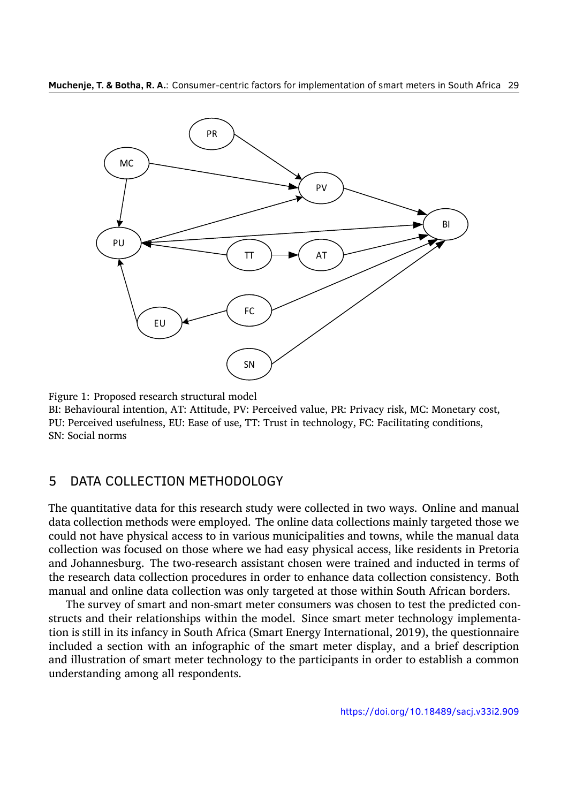<span id="page-12-0"></span>

Figure 1: Proposed research structural model

BI: Behavioural intention, AT: Attitude, PV: Perceived value, PR: Privacy risk, MC: Monetary cost, PU: Perceived usefulness, EU: Ease of use, TT: Trust in technology, FC: Facilitating conditions, SN: Social norms

## 5 DATA COLLECTION METHODOLOGY

The quantitative data for this research study were collected in two ways. Online and manual data collection methods were employed. The online data collections mainly targeted those we could not have physical access to in various municipalities and towns, while the manual data collection was focused on those where we had easy physical access, like residents in Pretoria and Johannesburg. The two-research assistant chosen were trained and inducted in terms of the research data collection procedures in order to enhance data collection consistency. Both manual and online data collection was only targeted at those within South African borders.

The survey of smart and non-smart meter consumers was chosen to test the predicted constructs and their relationships within the model. Since smart meter technology implementation is still in its infancy in South Africa (Smart Energy International, 2019), the questionnaire included a section with an infographic of the smart meter display, and a brief description and illustration of smart meter technology to the participants in order to establish a common understanding among all respondents.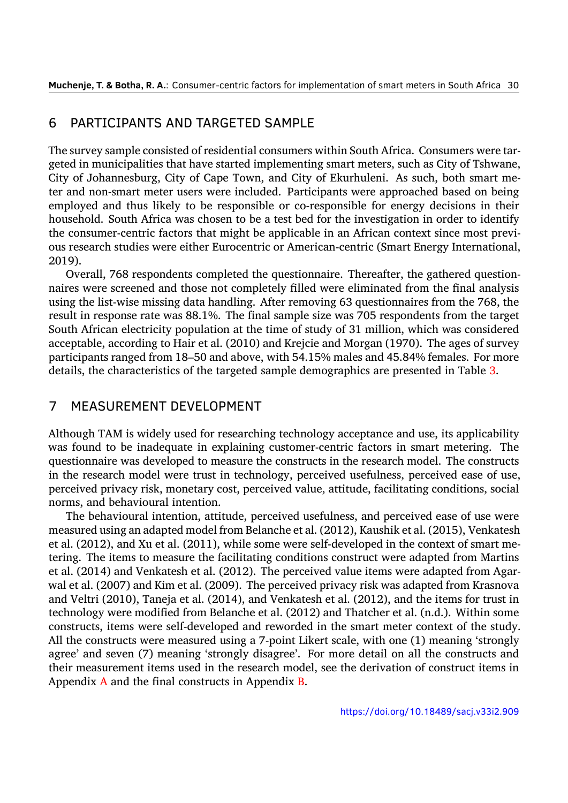#### 6 PARTICIPANTS AND TARGETED SAMPLE

The survey sample consisted of residential consumers within South Africa. Consumers were targeted in municipalities that have started implementing smart meters, such as City of Tshwane, City of Johannesburg, City of Cape Town, and City of Ekurhuleni. As such, both smart meter and non-smart meter users were included. Participants were approached based on being employed and thus likely to be responsible or co-responsible for energy decisions in their household. South Africa was chosen to be a test bed for the investigation in order to identify the consumer-centric factors that might be applicable in an African context since most previous research studies were either Eurocentric or American-centric (Smart Energy International, 2019).

Overall, 768 respondents completed the questionnaire. Thereafter, the gathered questionnaires were screened and those not completely filled were eliminated from the final analysis [using](#page-31-9) the list-wise missing data handling. After removing 63 questionnaires from the 768, the result in response rate was 88.1%. The final sample size was 705 respondents from the target South African electricity population at the time of study of 31 million, which was considered acceptable, according to Hair et al. (2010) and Krejcie and Morgan (1970). The ages of survey participants ranged from 18–50 and above, with 54.15% males and 45.84% females. For more details, the characteristics of the targeted sample demographics are presented in Table 3.

#### 7 MEASUREMENT DEVELOPMENT

Although TAM is widely used for researching technology acceptance and use, its applicability was found to be inadequate in explaining customer-centric factors in smart metering. The questionnaire was developed to measure the constructs in the research model. The constructs in the research model were trust in technology, perceived usefulness, perceived ease of use, perceived privacy risk, monetary cost, perceived value, attitude, facilitating conditions, social norms, and behavioural intention.

The behavioural intention, attitude, perceived usefulness, and perceived ease of use were measured using an adapted model from Belanche et al. (2012), Kaushik et al. (2015), Venkatesh et al. (2012), and Xu et al. (2011), while some were self-developed in the context of smart metering. The items to measure the facilitating conditions construct were adapted from Martins et al. (2014) and Venkatesh et al. (2012). The perceiv[ed valu](#page-26-12)e items were a[dapted](#page-28-11) from Agarwal et [al. \(2](#page-32-6)007) and Kim e[t al. \(2](#page-32-9)009). The perceived privacy risk was adapted from Krasnova and Veltri (2010), Taneja et al. (2014), and Venkatesh et al. (2012), and the items for trust in techn[ology](#page-29-11) were modified from Be[lanch](#page-32-6)e et al. (2012) and Thatcher et al. (n.d.). Within some constructs[, item](#page-25-5)s were self-dev[eloped](#page-28-12) and reworded in the smart meter context of the study. All the con[struct](#page-29-12)s were measure[d usin](#page-31-10)g a 7-point Likert scale[, with](#page-32-6) one (1) meaning 'strongly agree' and seven (7) meaning 'strongly disagre[e'. Fo](#page-26-12)r more detail on all [the](#page-31-8) constructs and their measurement items used in the research model, see the derivation of construct items in Appendix A and the final constructs in Appendix B.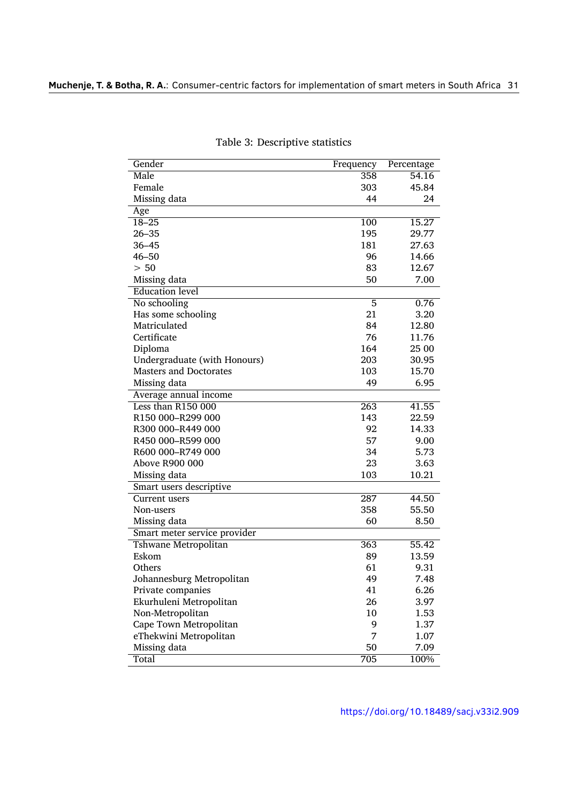| Gender                        | Frequency        | Percentage |
|-------------------------------|------------------|------------|
| Male                          | 358              | 54.16      |
| Female                        | 303              | 45.84      |
| Missing data                  | 44               | 24         |
| Age                           |                  |            |
| $18 - 25$                     | 100              | 15.27      |
| $26 - 35$                     | 195              | 29.77      |
| $36 - 45$                     | 181              | 27.63      |
| $46 - 50$                     | 96               | 14.66      |
| > 50                          | 83               | 12.67      |
| Missing data                  | 50               | 7.00       |
| <b>Education</b> level        |                  |            |
| No schooling                  | 5                | 0.76       |
| Has some schooling            | 21               | 3.20       |
| Matriculated                  | 84               | 12.80      |
| Certificate                   | 76               | 11.76      |
| Diploma                       | 164              | 25 00      |
| Undergraduate (with Honours)  | 203              | 30.95      |
| <b>Masters and Doctorates</b> | 103              | 15.70      |
| Missing data                  | 49               | 6.95       |
| Average annual income         |                  |            |
| Less than R150 000            | $\overline{263}$ | 41.55      |
| R150 000-R299 000             | 143              | 22.59      |
| R300 000-R449 000             | 92               | 14.33      |
| R450 000-R599 000             | 57               | 9.00       |
| R600 000-R749 000             | 34               | 5.73       |
| Above R900 000                | 23               | 3.63       |
| Missing data                  | 103              | 10.21      |
| Smart users descriptive       |                  |            |
| Current users                 | 287              | 44.50      |
| Non-users                     | 358              | 55.50      |
| Missing data                  | 60               | 8.50       |
| Smart meter service provider  |                  |            |
| Tshwane Metropolitan          | 363              | 55.42      |
| Eskom                         | 89               | 13.59      |
| Others                        | 61               | 9.31       |
| Johannesburg Metropolitan     | 49               | 7.48       |
| Private companies             | 41               | 6.26       |
| Ekurhuleni Metropolitan       | 26               | 3.97       |
| Non-Metropolitan              | 10               | 1.53       |
| Cape Town Metropolitan        | 9                | 1.37       |
| eThekwini Metropolitan        | 7                | 1.07       |
| Missing data                  | 50               | 7.09       |
| Total                         | 705              | 100%       |

Table 3: Descriptive statistics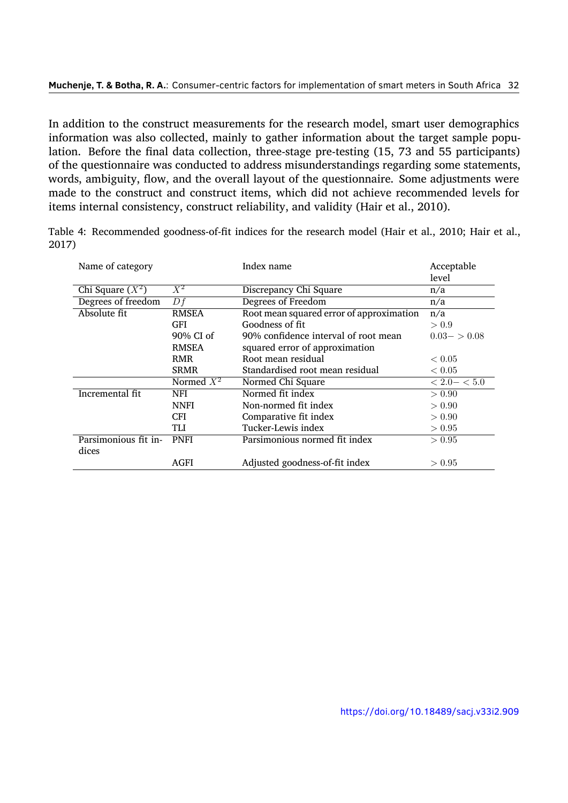In addition to the construct measurements for the research model, smart user demographics information was also collected, mainly to gather information about the target sample population. Before the final data collection, three-stage pre-testing (15, 73 and 55 participants) of the questionnaire was conducted to address misunderstandings regarding some statements, words, ambiguity, flow, and the overall layout of the questionnaire. Some adjustments were made to the construct and construct items, which did not achieve recommended levels for items internal consistency, construct reliability, and validity (Hair et al., 2010).

| Name of category     |              | Index name                               | Acceptable<br>level |
|----------------------|--------------|------------------------------------------|---------------------|
| Chi Square $(X^2)$   | $X^2$        | Discrepancy Chi Square                   | n/a                 |
| Degrees of freedom   | Df           | Degrees of Freedom                       | n/a                 |
| Absolute fit         | <b>RMSEA</b> | Root mean squared error of approximation | n/a                 |
|                      | GFI          | Goodness of fit                          | > 0.9               |
|                      | 90% CI of    | 90% confidence interval of root mean     | $0.03 - 0.08$       |
|                      | <b>RMSEA</b> | squared error of approximation           |                     |
|                      | <b>RMR</b>   | Root mean residual                       | < 0.05              |
|                      | <b>SRMR</b>  | Standardised root mean residual          | ${}< 0.05$          |
|                      | Normed $X^2$ | Normed Chi Square                        | $< 2.0 - < 5.0$     |
| Incremental fit      | NFI          | Normed fit index                         | > 0.90              |
|                      | <b>NNFI</b>  | Non-normed fit index                     | > 0.90              |
|                      | <b>CFI</b>   | Comparative fit index                    | > 0.90              |
|                      | TLI          | Tucker-Lewis index                       | > 0.95              |
| Parsimonious fit in- | <b>PNFI</b>  | Parsimonious normed fit index            | > 0.95              |
| dices                |              |                                          |                     |
|                      | AGFI         | Adjusted goodness-of-fit index           | > 0.95              |

Table 4: Recommended goodness-of-fit indices for the research model (Hair et al., 2010; Hair et al., 2017)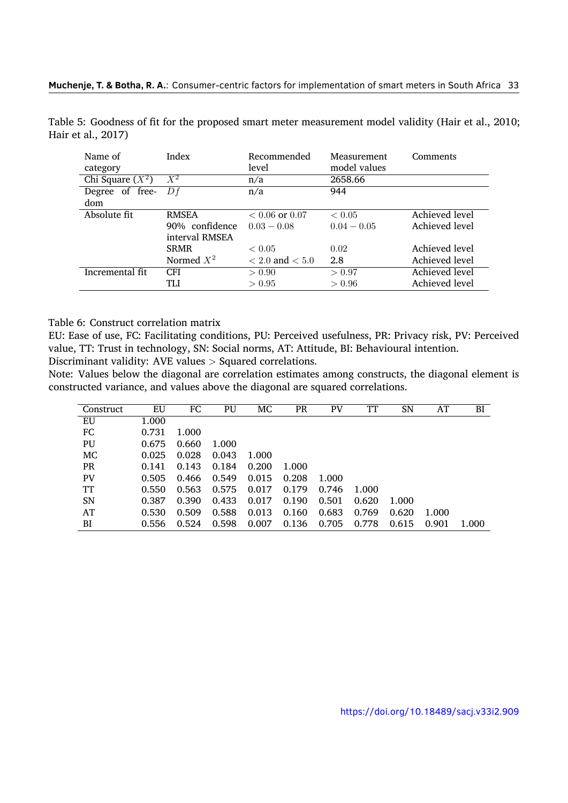<span id="page-16-0"></span>

| Name of<br>category | Index          | Recommended<br>level | Measurement<br>model values | Comments       |
|---------------------|----------------|----------------------|-----------------------------|----------------|
| Chi Square $(X^2)$  | $X^2$          | n/a                  | 2658.66                     |                |
| Degree of free-     | Df             | n/a                  | 944                         |                |
| dom                 |                |                      |                             |                |
| Absolute fit        | <b>RMSEA</b>   | $< 0.06$ or $0.07$   | < 0.05                      | Achieved level |
|                     | 90% confidence | $0.03 - 0.08$        | $0.04 - 0.05$               | Achieved level |
|                     | interval RMSEA |                      |                             |                |
|                     | <b>SRMR</b>    | < 0.05               | 0.02                        | Achieved level |
|                     | Normed $X^2$   | $< 2.0$ and $< 5.0$  | 2.8                         | Achieved level |
| Incremental fit     | <b>CFI</b>     | > 0.90               | > 0.97                      | Achieved level |
|                     | TLI            | > 0.95               | > 0.96                      | Achieved level |

Table 5: Goodness of fit for the proposed smart meter measurement model validity (Hair et al., 2010; Hair et al., 2017)

Table 6: Construct correlation matrix

EU: Ease of use, FC: Facilitating conditions, PU: Perceived usefulness, PR: Privacy risk, PV: Perceived value, TT: Trust in technology, SN: Social norms, AT: Attitude, BI: Behavioural intention.

Discriminant validity: AVE values *>* Squared correlations.

Note: Values below the diagonal are correlation estimates among constructs, the diagonal element is constructed variance, and values above the diagonal are squared correlations.

| Construct | EU    | FC    | PU    | МC    | PR    | PV    | TT    | SN    | AT    | BI    |
|-----------|-------|-------|-------|-------|-------|-------|-------|-------|-------|-------|
| EU        | 1.000 |       |       |       |       |       |       |       |       |       |
| FC        | 0.731 | 1.000 |       |       |       |       |       |       |       |       |
| PU        | 0.675 | 0.660 | 1.000 |       |       |       |       |       |       |       |
| MC        | 0.025 | 0.028 | 0.043 | 1.000 |       |       |       |       |       |       |
| <b>PR</b> | 0.141 | 0.143 | 0.184 | 0.200 | 1.000 |       |       |       |       |       |
| <b>PV</b> | 0.505 | 0.466 | 0.549 | 0.015 | 0.208 | 1.000 |       |       |       |       |
| TT        | 0.550 | 0.563 | 0.575 | 0.017 | 0.179 | 0.746 | 1.000 |       |       |       |
| <b>SN</b> | 0.387 | 0.390 | 0.433 | 0.017 | 0.190 | 0.501 | 0.620 | 1.000 |       |       |
| AT        | 0.530 | 0.509 | 0.588 | 0.013 | 0.160 | 0.683 | 0.769 | 0.620 | 1.000 |       |
| BI        | 0.556 | 0.524 | 0.598 | 0.007 | 0.136 | 0.705 | 0.778 | 0.615 | 0.901 | 1.000 |

https://doi.org/10.18489/sacj.v33i2.909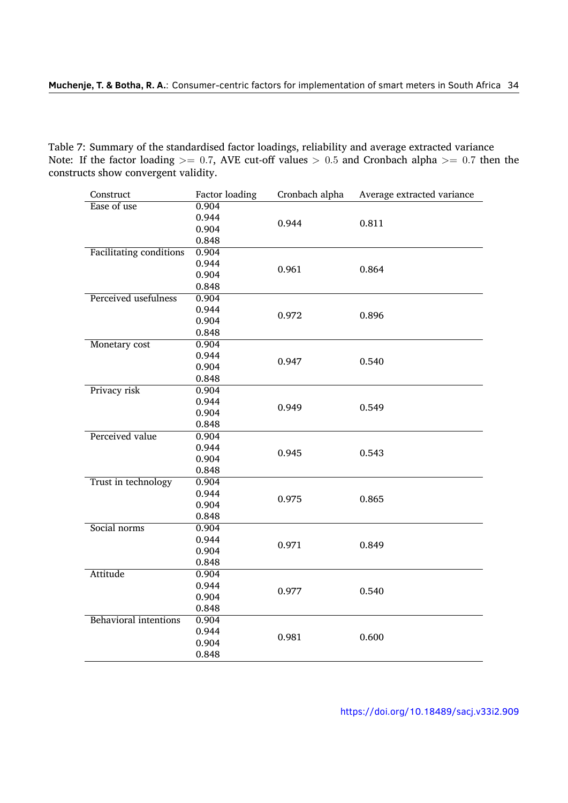Table 7: Summary of the standardised factor loadings, reliability and average extracted variance Note: If the factor loading *>*= 0*.*7, AVE cut-off values *>* 0*.*5 and Cronbach alpha *>*= 0*.*7 then the constructs show convergent validity.

| Construct                      | <b>Factor loading</b> | Cronbach alpha | Average extracted variance |  |
|--------------------------------|-----------------------|----------------|----------------------------|--|
| Ease of use                    | 0.904                 |                |                            |  |
|                                | 0.944                 | 0.944          | 0.811                      |  |
|                                | 0.904                 |                |                            |  |
|                                | 0.848                 |                |                            |  |
| <b>Facilitating conditions</b> | 0.904                 |                |                            |  |
|                                | 0.944                 | 0.961          | 0.864                      |  |
|                                | 0.904                 |                |                            |  |
|                                | 0.848                 |                |                            |  |
| Perceived usefulness           | 0.904                 |                |                            |  |
|                                | 0.944                 | 0.972          | 0.896                      |  |
|                                | 0.904                 |                |                            |  |
|                                | 0.848                 |                |                            |  |
| Monetary cost                  | 0.904                 |                |                            |  |
|                                | 0.944                 | 0.947          | 0.540                      |  |
|                                | 0.904                 |                |                            |  |
|                                | 0.848                 |                |                            |  |
| Privacy risk                   | 0.904                 |                |                            |  |
|                                | 0.944                 | 0.949          | 0.549                      |  |
|                                | 0.904                 |                |                            |  |
|                                | 0.848                 |                |                            |  |
| Perceived value                | 0.904                 |                |                            |  |
|                                | 0.944                 | 0.945          | 0.543                      |  |
|                                | 0.904                 |                |                            |  |
|                                | 0.848                 |                |                            |  |
| Trust in technology            | 0.904                 |                |                            |  |
|                                | 0.944                 | 0.975          | 0.865                      |  |
|                                | 0.904                 |                |                            |  |
|                                | 0.848                 |                |                            |  |
| Social norms                   | 0.904                 |                |                            |  |
|                                | 0.944                 | 0.971          | 0.849                      |  |
|                                | 0.904                 |                |                            |  |
|                                | 0.848                 |                |                            |  |
| <b>Attitude</b>                | 0.904                 |                |                            |  |
|                                | 0.944                 | 0.977          | 0.540                      |  |
|                                | 0.904                 |                |                            |  |
|                                | 0.848                 |                |                            |  |
| <b>Behavioral intentions</b>   | 0.904                 |                |                            |  |
|                                | 0.944                 | 0.600<br>0.981 |                            |  |
|                                | 0.904                 |                |                            |  |
|                                | 0.848                 |                |                            |  |

https://doi.org/10.18489/sacj.v33i2.909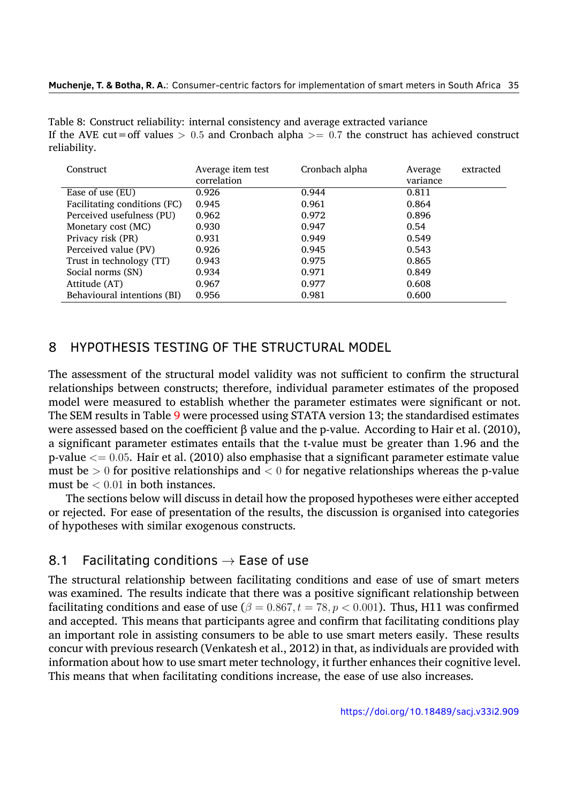Table 8: Construct reliability: internal consistency and average extracted variance If the AVE cut=off values *>* 0*.*5 and Cronbach alpha *>*= 0*.*7 the construct has achieved construct reliability.

| Construct                    | Average item test | Cronbach alpha | extracted<br>Average |
|------------------------------|-------------------|----------------|----------------------|
|                              | correlation       |                | variance             |
| Ease of use (EU)             | 0.926             | 0.944          | 0.811                |
| Facilitating conditions (FC) | 0.945             | 0.961          | 0.864                |
| Perceived usefulness (PU)    | 0.962             | 0.972          | 0.896                |
| Monetary cost (MC)           | 0.930             | 0.947          | 0.54                 |
| Privacy risk (PR)            | 0.931             | 0.949          | 0.549                |
| Perceived value (PV)         | 0.926             | 0.945          | 0.543                |
| Trust in technology (TT)     | 0.943             | 0.975          | 0.865                |
| Social norms (SN)            | 0.934             | 0.971          | 0.849                |
| Attitude (AT)                | 0.967             | 0.977          | 0.608                |
| Behavioural intentions (BI)  | 0.956             | 0.981          | 0.600                |

#### 8 HYPOTHESIS TESTING OF THE STRUCTURAL MODEL

The assessment of the structural model validity was not sufficient to confirm the structural relationships between constructs; therefore, individual parameter estimates of the proposed model were measured to establish whether the parameter estimates were significant or not. The SEM results in Table 9 were processed using STATA version 13; the standardised estimates were assessed based on the coefficient β value and the p-value. According to Hair et al. (2010), a significant parameter estimates entails that the t-value must be greater than 1.96 and the p-value *<*= 0*.*05. Hair et [al](#page-19-0). (2010) also emphasise that a significant parameter estimate value must be *>* 0 for positive relationships and *<* 0 for negative relationships whereas the [p-valu](#page-27-13)e must be *<* 0*.*01 in both instances.

The sections below will d[iscuss](#page-27-13) in detail how the proposed hypotheses were either accepted or rejected. For ease of presentation of the results, the discussion is organised into categories of hypotheses with similar exogenous constructs.

## 8.1 Facilitating conditions *→* Ease of use

The structural relationship between facilitating conditions and ease of use of smart meters was examined. The results indicate that there was a positive significant relationship between facilitating conditions and ease of use ( $\beta = 0.867$ ,  $t = 78$ ,  $p < 0.001$ ). Thus, H11 was confirmed and accepted. This means that participants agree and confirm that facilitating conditions play an important role in assisting consumers to be able to use smart meters easily. These results concur with previous research (Venkatesh et al., 2012) in that, as individuals are provided with information about how to use smart meter technology, it further enhances their cognitive level. This means that when facilitating conditions increase, the ease of use also increases.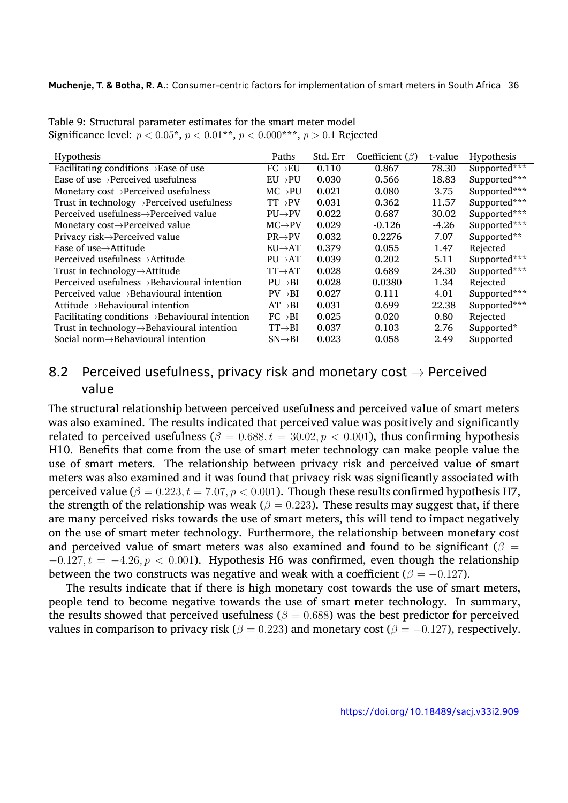<span id="page-19-0"></span>

|                      |       |          |                       | Hypothesis   |
|----------------------|-------|----------|-----------------------|--------------|
| $FC \rightarrow EU$  | 0.110 | 0.867    | 78.30                 | Supported*** |
| $EU\rightarrow PU$   | 0.030 | 0.566    | 18.83                 | Supported*** |
| $MC \rightarrow PU$  | 0.021 | 0.080    | 3.75                  | Supported*** |
| $TT\rightarrow PV$   | 0.031 | 0.362    | 11.57                 | Supported*** |
| $PU\rightarrow PV$   | 0.022 | 0.687    | 30.02                 | Supported*** |
| $MC \rightarrow PV$  | 0.029 | $-0.126$ | $-4.26$               | Supported*** |
| $PR \rightarrow PV$  | 0.032 | 0.2276   | 7.07                  | Supported**  |
| $EU\rightarrow AT$   | 0.379 | 0.055    | 1.47                  | Rejected     |
| $PIJ \rightarrow AT$ | 0.039 | 0.202    | 5.11                  | Supported*** |
| $TT\rightarrow AT$   | 0.028 | 0.689    | 24.30                 | Supported*** |
| $PU \rightarrow BI$  | 0.028 | 0.0380   | 1.34                  | Rejected     |
| $PV \rightarrow BI$  | 0.027 | 0.111    | 4.01                  | Supported*** |
| $AT \rightarrow BI$  | 0.031 | 0.699    | 22.38                 | Supported*** |
| $FC \rightarrow BI$  | 0.025 | 0.020    | 0.80                  | Rejected     |
| $TT\rightarrow BI$   | 0.037 | 0.103    | 2.76                  | Supported*   |
| $SN \rightarrow BI$  | 0.023 | 0.058    | 2.49                  | Supported    |
|                      | Paths | Std. Err | Coefficient $(\beta)$ | t-value      |

Table 9: Structural parameter estimates for the smart meter model Significance level: *p <* 0*.*05\*, *p <* 0*.*01\*\*, *p <* 0*.*000\*\*\*, *p >* 0*.*1 Rejected

## 8.2 Perceived usefulness, privacy risk and monetary cost *→* Perceived value

The structural relationship between perceived usefulness and perceived value of smart meters was also examined. The results indicated that perceived value was positively and significantly related to perceived usefulness ( $\beta = 0.688, t = 30.02, p < 0.001$ ), thus confirming hypothesis H10. Benefits that come from the use of smart meter technology can make people value the use of smart meters. The relationship between privacy risk and perceived value of smart meters was also examined and it was found that privacy risk was significantly associated with perceived value ( $\beta = 0.223, t = 7.07, p < 0.001$ ). Though these results confirmed hypothesis H7, the strength of the relationship was weak ( $\beta = 0.223$ ). These results may suggest that, if there are many perceived risks towards the use of smart meters, this will tend to impact negatively on the use of smart meter technology. Furthermore, the relationship between monetary cost and perceived value of smart meters was also examined and found to be significant ( $\beta$  = *−*0*.*127*, t* = *−*4*.*26*, p <* 0*.*001). Hypothesis H6 was confirmed, even though the relationship between the two constructs was negative and weak with a coefficient ( $\beta = -0.127$ ).

The results indicate that if there is high monetary cost towards the use of smart meters, people tend to become negative towards the use of smart meter technology. In summary, the results showed that perceived usefulness ( $\beta = 0.688$ ) was the best predictor for perceived values in comparison to privacy risk ( $\beta = 0.223$ ) and monetary cost ( $\beta = -0.127$ ), respectively.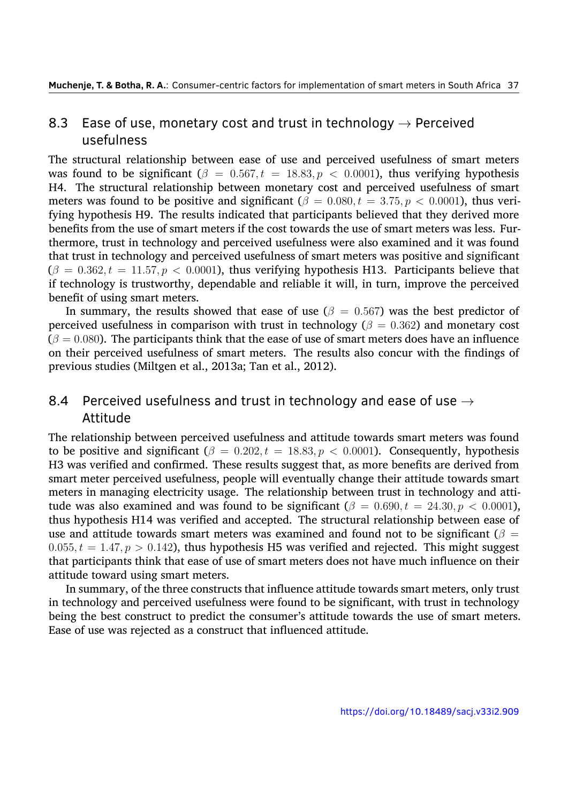## 8.3 Ease of use, monetary cost and trust in technology *→* Perceived usefulness

The structural relationship between ease of use and perceived usefulness of smart meters was found to be significant  $(\beta = 0.567, t = 18.83, p < 0.0001)$ , thus verifying hypothesis H4. The structural relationship between monetary cost and perceived usefulness of smart meters was found to be positive and significant ( $\beta = 0.080, t = 3.75, p < 0.0001$ ), thus verifying hypothesis H9. The results indicated that participants believed that they derived more benefits from the use of smart meters if the cost towards the use of smart meters was less. Furthermore, trust in technology and perceived usefulness were also examined and it was found that trust in technology and perceived usefulness of smart meters was positive and significant  $(\beta = 0.362, t = 11.57, p < 0.0001)$ , thus verifying hypothesis H13. Participants believe that if technology is trustworthy, dependable and reliable it will, in turn, improve the perceived benefit of using smart meters.

In summary, the results showed that ease of use ( $\beta = 0.567$ ) was the best predictor of perceived usefulness in comparison with trust in technology ( $\beta = 0.362$ ) and monetary cost  $(\beta = 0.080)$ . The participants think that the ease of use of smart meters does have an influence on their perceived usefulness of smart meters. The results also concur with the findings of previous studies (Miltgen et al., 2013a; Tan et al., 2012).

## 8.4 Perceived usefulness [and t](#page-29-3)rust in te[chno](#page-31-6)logy and ease of use *→* Attitude

The relationship between perceived usefulness and attitude towards smart meters was found to be positive and significant  $(\beta = 0.202, t = 18.83, p < 0.0001)$ . Consequently, hypothesis H3 was verified and confirmed. These results suggest that, as more benefits are derived from smart meter perceived usefulness, people will eventually change their attitude towards smart meters in managing electricity usage. The relationship between trust in technology and attitude was also examined and was found to be significant  $(\beta = 0.690, t = 24.30, p < 0.0001)$ , thus hypothesis H14 was verified and accepted. The structural relationship between ease of use and attitude towards smart meters was examined and found not to be significant ( $\beta$  =  $0.055, t = 1.47, p > 0.142$ , thus hypothesis H5 was verified and rejected. This might suggest that participants think that ease of use of smart meters does not have much influence on their attitude toward using smart meters.

In summary, of the three constructs that influence attitude towards smart meters, only trust in technology and perceived usefulness were found to be significant, with trust in technology being the best construct to predict the consumer's attitude towards the use of smart meters. Ease of use was rejected as a construct that influenced attitude.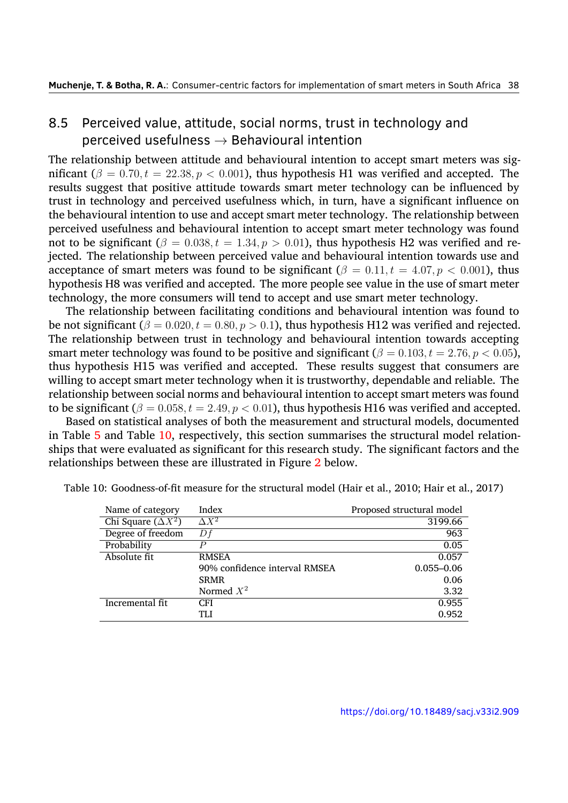## 8.5 Perceived value, attitude, social norms, trust in technology and perceived usefulness *→* Behavioural intention

The relationship between attitude and behavioural intention to accept smart meters was significant ( $\beta = 0.70, t = 22.38, p < 0.001$ ), thus hypothesis H1 was verified and accepted. The results suggest that positive attitude towards smart meter technology can be influenced by trust in technology and perceived usefulness which, in turn, have a significant influence on the behavioural intention to use and accept smart meter technology. The relationship between perceived usefulness and behavioural intention to accept smart meter technology was found not to be significant ( $\beta = 0.038, t = 1.34, p > 0.01$ ), thus hypothesis H2 was verified and rejected. The relationship between perceived value and behavioural intention towards use and acceptance of smart meters was found to be significant ( $\beta = 0.11, t = 4.07, p < 0.001$ ), thus hypothesis H8 was verified and accepted. The more people see value in the use of smart meter technology, the more consumers will tend to accept and use smart meter technology.

The relationship between facilitating conditions and behavioural intention was found to be not significant ( $\beta = 0.020, t = 0.80, p > 0.1$ ), thus hypothesis H12 was verified and rejected. The relationship between trust in technology and behavioural intention towards accepting smart meter technology was found to be positive and significant ( $\beta = 0.103, t = 2.76, p < 0.05$ ), thus hypothesis H15 was verified and accepted. These results suggest that consumers are willing to accept smart meter technology when it is trustworthy, dependable and reliable. The relationship between social norms and behavioural intention to accept smart meters was found to be significant  $(\beta = 0.058, t = 2.49, p < 0.01)$ , thus hypothesis H16 was verified and accepted.

Based on statistical analyses of both the measurement and structural models, documented in Table 5 and Table 10, respectively, this section summarises the structural model relationships that were evaluated as significant for this research study. The significant factors and the relationships between these are illustrated in Figure 2 below.

| Name of category          | Index                         | Proposed structural model |
|---------------------------|-------------------------------|---------------------------|
| Chi Square $(\Delta X^2)$ | $\Delta X^2$                  | 3199.66                   |
| Degree of freedom         | Df                            | 963                       |
| Probability               |                               | 0.05                      |
| Absolute fit              | <b>RMSEA</b>                  | 0.057                     |
|                           | 90% confidence interval RMSEA | $0.055 - 0.06$            |
|                           | <b>SRMR</b>                   | 0.06                      |
|                           | Normed $X^2$                  | 3.32                      |
| Incremental fit           | CFI                           | 0.955                     |
|                           | TLI                           | 0.952                     |

<span id="page-21-0"></span>Table [10](#page-16-0): Goodness-[of-fi](#page-21-0)t measure for the structural model (Hair et al., 2010; Hair et al., 2017)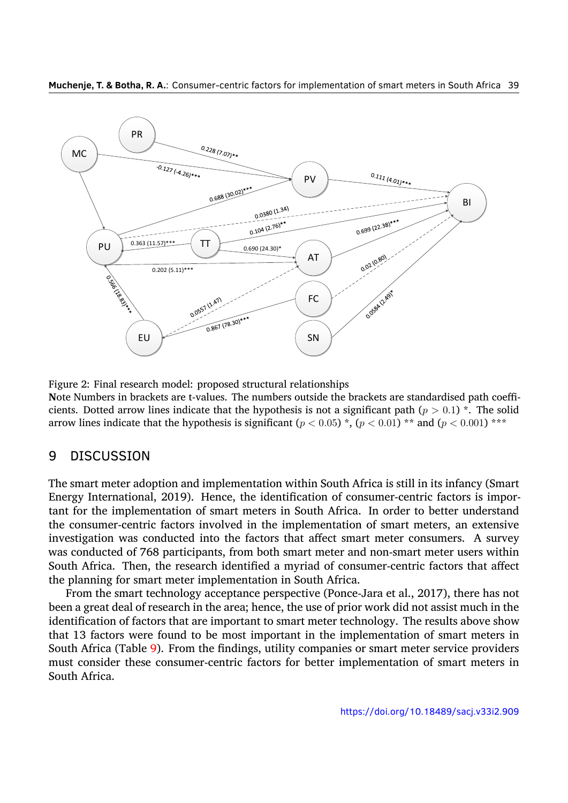<span id="page-22-0"></span>

Figure 2: Final research model: proposed structural relationships

**N**ote Numbers in brackets are t-values. The numbers outside the brackets are standardised path coefficients. Dotted arrow lines indicate that the hypothesis is not a significant path ( $p > 0.1$ )  $\star$ . The solid arrow lines indicate that the hypothesis is significant  $(p < 0.05)$ <sup>\*</sup>,  $(p < 0.01)$ <sup>\*\*</sup> and  $(p < 0.001)$ <sup>\*\*\*</sup>

#### 9 DISCUSSION

The smart meter adoption and implementation within South Africa is still in its infancy (Smart Energy International, 2019). Hence, the identification of consumer-centric factors is important for the implementation of smart meters in South Africa. In order to better understand the consumer-centric factors involved in the implementation of smart meters, an extensive investigation was con[ducte](#page-31-9)d into the factors that affect smart meter consumers. A survey was conducted of 768 participants, from both smart meter and non-smart meter users within South Africa. Then, the research identified a myriad of consumer-centric factors that affect the planning for smart meter implementation in South Africa.

From the smart technology acceptance perspective (Ponce-Jara et al., 2017), there has not been a great deal of research in the area; hence, the use of prior work did not assist much in the identification of factors that are important to smart meter technology. The results above show that 13 factors were found to be most important in the implementatio[n of s](#page-30-11)mart meters in South Africa (Table 9). From the findings, utility companies or smart meter service providers must consider these consumer-centric factors for better implementation of smart meters in South Africa.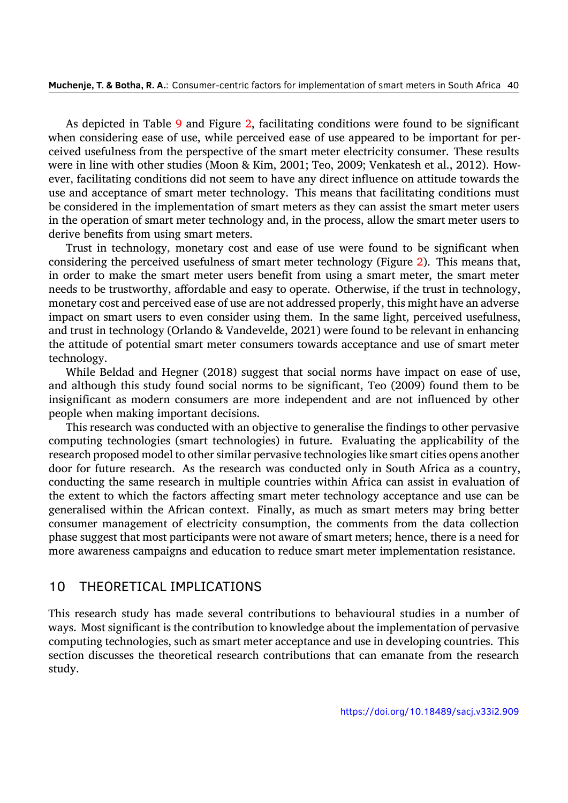As depicted in Table 9 and Figure 2, facilitating conditions were found to be significant when considering ease of use, while perceived ease of use appeared to be important for perceived usefulness from the perspective of the smart meter electricity consumer. These results were in line with other s[tud](#page-19-0)ies (Moon [&](#page-22-0) Kim, 2001; Teo, 2009; Venkatesh et al., 2012). However, facilitating conditions did not seem to have any direct influence on attitude towards the use and acceptance of smart meter technology. This means that facilitating conditions must be considered in the implementation of smart [mete](#page-30-8)rs as [they c](#page-31-11)an assist the smar[t mete](#page-32-6)r users in the operation of smart meter technology and, in the process, allow the smart meter users to derive benefits from using smart meters.

Trust in technology, monetary cost and ease of use were found to be significant when considering the perceived usefulness of smart meter technology (Figure 2). This means that, in order to make the smart meter users benefit from using a smart meter, the smart meter needs to be trustworthy, affordable and easy to operate. Otherwise, if the trust in technology, monetary cost and perceived ease of use are not addressed properly, this [mig](#page-22-0)ht have an adverse impact on smart users to even consider using them. In the same light, perceived usefulness, and trust in technology (Orlando & Vandevelde, 2021) were found to be relevant in enhancing the attitude of potential smart meter consumers towards acceptance and use of smart meter technology.

While Beldad and Hegner (2018) suggest t[hat so](#page-30-12)cial norms have impact on ease of use, and although this study found social norms to be significant, Teo (2009) found them to be insignificant as modern consumers are more independent and are not influenced by other people when making importan[t decis](#page-26-11)ions.

This research was conducted with an objective to generalise the fi[nding](#page-31-11)s to other pervasive computing technologies (smart technologies) in future. Evaluating the applicability of the research proposed model to other similar pervasive technologies like smart cities opens another door for future research. As the research was conducted only in South Africa as a country, conducting the same research in multiple countries within Africa can assist in evaluation of the extent to which the factors affecting smart meter technology acceptance and use can be generalised within the African context. Finally, as much as smart meters may bring better consumer management of electricity consumption, the comments from the data collection phase suggest that most participants were not aware of smart meters; hence, there is a need for more awareness campaigns and education to reduce smart meter implementation resistance.

#### 10 THEORETICAL IMPLICATIONS

This research study has made several contributions to behavioural studies in a number of ways. Most significant is the contribution to knowledge about the implementation of pervasive computing technologies, such as smart meter acceptance and use in developing countries. This section discusses the theoretical research contributions that can emanate from the research study.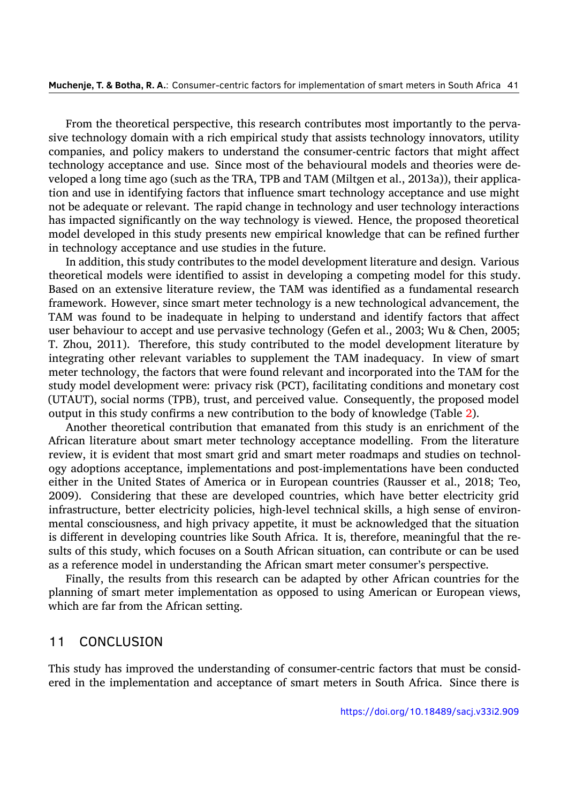From the theoretical perspective, this research contributes most importantly to the pervasive technology domain with a rich empirical study that assists technology innovators, utility companies, and policy makers to understand the consumer-centric factors that might affect technology acceptance and use. Since most of the behavioural models and theories were developed a long time ago (such as the TRA, TPB and TAM (Miltgen et al., 2013a)), their application and use in identifying factors that influence smart technology acceptance and use might not be adequate or relevant. The rapid change in technology and user technology interactions has impacted significantly on the way technology is viewed. Hence, th[e propo](#page-29-3)sed theoretical model developed in this study presents new empirical knowledge that can be refined further in technology acceptance and use studies in the future.

In addition, this study contributes to the model development literature and design. Various theoretical models were identified to assist in developing a competing model for this study. Based on an extensive literature review, the TAM was identified as a fundamental research framework. However, since smart meter technology is a new technological advancement, the TAM was found to be inadequate in helping to understand and identify factors that affect user behaviour to accept and use pervasive technology (Gefen et al., 2003; Wu & Chen, 2005; T. Zhou, 2011). Therefore, this study contributed to the model development literature by integrating other relevant variables to supplement the TAM inadequacy. In view of smart meter technology, the factors that were found relevant and incorpor[ated in](#page-27-6)to the TAMf[or the](#page-32-5) study mo[del de](#page-33-1)velopment were: privacy risk (PCT), facilitating conditions and monetary cost (UTAUT), social norms (TPB), trust, and perceived value. Consequently, the proposed model output in this study confirms a new contribution to the body of knowledge (Table 2).

Another theoretical contribution that emanated from this study is an enrichment of the African literature about smart meter technology acceptance modelling. From the literature review, it is evident that most smart grid and smart meter roadmaps and studies [on](#page-7-0) technology adoptions acceptance, implementations and post-implementations have been conducted either in the United States of America or in European countries (Rausser et al., 2018; Teo, 2009). Considering that these are developed countries, which have better electricity grid infrastructure, better electricity policies, high-level technical skills, a high sense of environmental consciousness, and high privacy appetite, it must be acknowledged that t[he situ](#page-30-1)ation [is diff](#page-31-11)erent in developing countries like South Africa. It is, therefore, meaningful that the results of this study, which focuses on a South African situation, can contribute or can be used as a reference model in understanding the African smart meter consumer's perspective.

Finally, the results from this research can be adapted by other African countries for the planning of smart meter implementation as opposed to using American or European views, which are far from the African setting.

#### 11 CONCLUSION

This study has improved the understanding of consumer-centric factors that must be considered in the implementation and acceptance of smart meters in South Africa. Since there is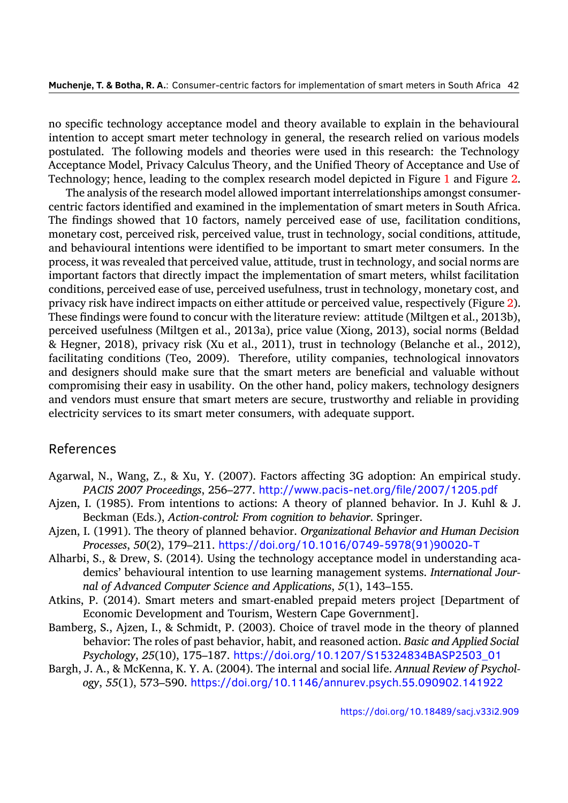no specific technology acceptance model and theory available to explain in the behavioural intention to accept smart meter technology in general, the research relied on various models postulated. The following models and theories were used in this research: the Technology Acceptance Model, Privacy Calculus Theory, and the Unified Theory of Acceptance and Use of Technology; hence, leading to the complex research model depicted in Figure 1 and Figure 2.

The analysis of the research model allowed important interrelationships amongst consumercentric factors identified and examined in the implementation of smart meters in South Africa. The findings showed that 10 factors, namely perceived ease of use, facilita[tio](#page-12-0)n conditio[ns,](#page-22-0) monetary cost, perceived risk, perceived value, trust in technology, social conditions, attitude, and behavioural intentions were identified to be important to smart meter consumers. In the process, it was revealed that perceived value, attitude, trust in technology, and social norms are important factors that directly impact the implementation of smart meters, whilst facilitation conditions, perceived ease of use, perceived usefulness, trust in technology, monetary cost, and privacy risk have indirect impacts on either attitude or perceived value, respectively (Figure 2). These findings were found to concur with the literature review: attitude (Miltgen et al., 2013b), perceived usefulness (Miltgen et al., 2013a), price value (Xiong, 2013), social norms (Beldad & Hegner, 2018), privacy risk (Xu et al., 2011), trust in technology (Belanche et al., 201[2](#page-22-0)), facilitating conditions (Teo, 2009). Therefore, utility companies, technological in[novator](#page-30-6)s and designers should make sure th[at the s](#page-29-3)mart meters are ben[eficial](#page-32-8) and valuable without compromis[ing th](#page-26-11)eir easy in usability. Ont[he oth](#page-32-9)er hand, policy makers, technology de[signer](#page-26-12)s and vendors must ensure tha[t sma](#page-31-11)rt meters are secure, trustworthy and reliable in providing electricity services to its smart meter consumers, with adequate support.

## References

- Agarwal, N., Wang, Z., & Xu, Y. (2007). Factors affecting 3G adoption: An empirical study. *PACIS 2007 Proceedings*, 256–277. http://www.pacis-net.org/file/2007/1205.pdf
- Ajzen, I. (1985). From intentions to actions: A theory of planned behavior. In J. Kuhl & J. Beckman (Eds.), *Action-control: From cognition to behavior*. Springer.
- <span id="page-25-5"></span>Ajzen, I. (1991). The theory of planned behavior. *[Organizational Behavior and Human Deci](http://www.pacis-net.org/file/2007/1205.pdf)sion Processes*, *50*(2), 179–211. https://doi.org/10.1016/0749-5978(91)90020-T
- <span id="page-25-4"></span><span id="page-25-3"></span>Alharbi, S., & Drew, S. (2014). Using the technology acceptance model in understanding academics' behavioural intention to use learning management systems. *International Journal of Advanced Computer Science and Applications*, *5*(1), 143–155.
- Atkins, P. (2014). Smart meters [and smart-enabled prepaid meters project \[Departm](https://doi.org/10.1016/0749-5978(91)90020-T)ent of Economic Development and Tourism, Western Cape Government].
- <span id="page-25-1"></span>Bamberg, S., Ajzen, I., & Schmidt, P. (2003). Choice of travel mode in the theory of planned behavior: The roles of past behavior, habit, and reasoned action. *Basic and Applied Social Psychology*, *25*(10), 175–187. https://doi.org/10.1207/S15324834BASP2503\_01
- <span id="page-25-2"></span><span id="page-25-0"></span>Bargh, J. A., & McKenna, K. Y. A. (2004). The internal and social life. *Annual Review of Psychology*, *55*(1), 573–590. https://doi.org/10.1146/annurev.psych.55.090902.141922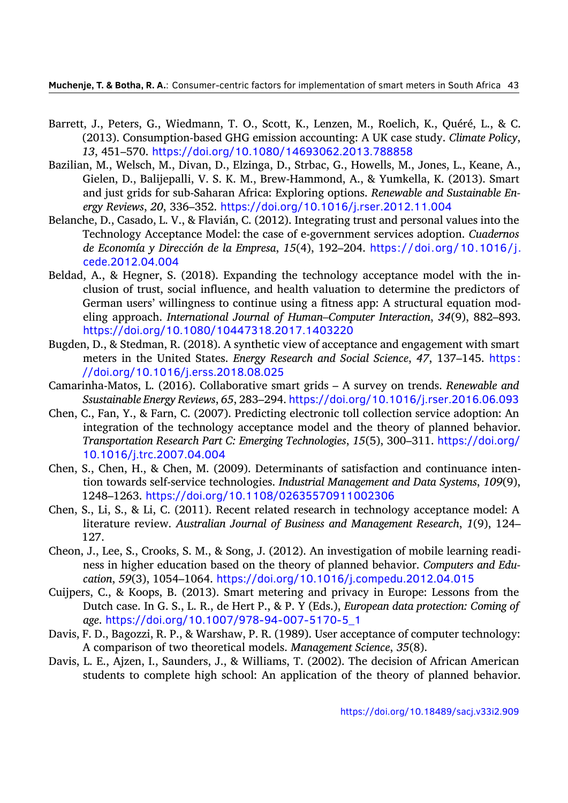- Barrett, J., Peters, G., Wiedmann, T. O., Scott, K., Lenzen, M., Roelich, K., Quéré, L., & C. (2013). Consumption-based GHG emission accounting: A UK case study. *Climate Policy*, *13*, 451–570. https://doi.org/10.1080/14693062.2013.788858
- <span id="page-26-2"></span>Bazilian, M., Welsch, M., Divan, D., Elzinga, D., Strbac, G., Howells, M., Jones, L., Keane, A., Gielen, D., Balijepalli, V. S. K. M., Brew‐Hammond, A., & Yumkella, K. (2013). Smart and just grid[s for sub-Saharan Africa: Exploring options.](https://doi.org/10.1080/14693062.2013.788858) *Renewable and Sustainable Energy Reviews*, *20*, 336–352. https://doi.org/10.1016/j.rser.2012.11.004
- <span id="page-26-0"></span>Belanche, D., Casado, L. V., & Flavián, C. (2012). Integrating trust and personal values into the Technology Acceptance Model: the case of e-government services adoption. *Cuadernos de Economía y Dirección de la Empresa*, *15*(4), 192–204. [https://doi.org](https://doi.org/10.1016/j.rser.2012.11.004)/10.1016/j. cede.2012.04.004
- <span id="page-26-12"></span>Beldad, A., & Hegner, S. (2018). Expanding the technology acceptance model with the inclusion of trust, social influence, and health valuationt[o determine the predictors of](https://doi.org/10.1016/j.cede.2012.04.004) [German users' willi](https://doi.org/10.1016/j.cede.2012.04.004)ngness to continue using a fitness app: A structural equation modeling approach. *International Journal of Human–Computer Interaction*, *34*(9), 882–893. https://doi.org/10.1080/10447318.2017.1403220
- <span id="page-26-11"></span>Bugden, D., & Stedman, R. (2018). A synthetic view of acceptance and engagement with smart meters in the United States. *Energy Research and Social Science*, *47*, 137–145. https : [//doi.org/10.1016/j.erss.2018.08.025](https://doi.org/10.1080/10447318.2017.1403220)
- <span id="page-26-3"></span>Camarinha-Matos, L. (2016). Collaborative smart grids – A survey on trends. *Renewable and Ssustainable Energy Reviews*, *65*, 283–294. https://doi.org/10.1016/j.rser.2016.0[6.093](https://doi.org/10.1016/j.erss.2018.08.025)
- <span id="page-26-1"></span>Chen, [C., Fan, Y., & Farn, C. \(2007\). Predicting](https://doi.org/10.1016/j.erss.2018.08.025) electronic toll collection service adoption: An integration of the technology acceptance model and the theory of planned behavior. *Transportation Research Part C: Emerging Technologies*, *15*(5), 300–311. [https://doi.org/](https://doi.org/10.1016/j.rser.2016.06.093) 10.1016/j.trc.2007.04.004
- <span id="page-26-9"></span>Chen, S., Chen, H., & Chen, M. (2009). Determinants of satisfaction and continuance intention towards self-service technologies. *Industrial Management and Data [Systems](https://doi.org/10.1016/j.trc.2007.04.004)*, *109*(9), 1248–1263. [https://doi.org/](https://doi.org/10.1016/j.trc.2007.04.004)10.1108/02635570911002306
- <span id="page-26-10"></span>Chen, S., Li, S., & Li, C. (2011). Recent related research in technology acceptance model: A literature review. *Australian Journal of Business and Management Research*, *1*(9), 124– 127.
- <span id="page-26-8"></span>Cheon, J., Lee, S., [Crooks, S. M., & Song, J. \(2012\). An investigation](https://doi.org/10.1108/02635570911002306) of mobile learning readiness in higher education based on the theory of planned behavior. *Computers and Education*, *59*(3), 1054–1064. https://doi.org/10.1016/j.compedu.2012.04.015
- <span id="page-26-5"></span>Cuijpers, C., & Koops, B. (2013). Smart metering and privacy in Europe: Lessons from the Dutch case. In G. S., L. R., de Hert P., & P. Y (Eds.), *European data protection: Coming of age*. https://doi.org/10.1[007/978-94-007-5170-5\\_1](https://doi.org/10.1016/j.compedu.2012.04.015)
- <span id="page-26-4"></span>Davis, F. D., Bagozzi, R. P., & Warshaw, P. R. (1989). User acceptance of computer technology: A comparison of two theoretical models. *Management Science*, *35*(8).
- <span id="page-26-7"></span><span id="page-26-6"></span>Davis, L. E[., Ajzen, I., Saunders, J., & Williams, T. \(2002\). Th](https://doi.org/10.1007/978-94-007-5170-5_1)e decision of African American students to complete high school: An application of the theory of planned behavior.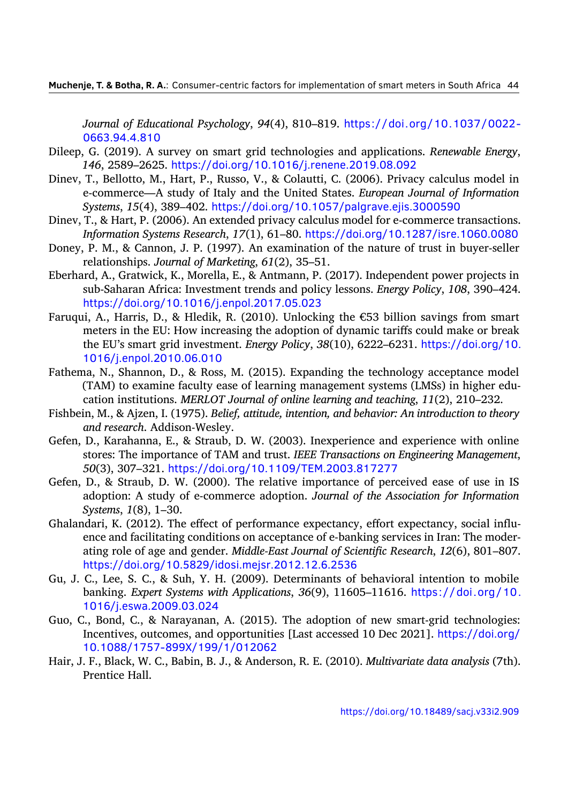*Journal of Educational Psychology*, *94*(4), 810–819. https://doi.org/10.1037/0022- 0663.94.4.810

- Dileep, G. (2019). A survey on smart grid technologies and applications. *Renewable Energy*, *146*, 2589–2625. https://doi.org/10.1016/j.renen[e.2019.08.092](https://doi.org/10.1037/0022-0663.94.4.810)
- <span id="page-27-1"></span>Dinev, [T., Bellotto, M.](https://doi.org/10.1037/0022-0663.94.4.810), Hart, P., Russo, V., & Colautti, C. (2006). Privacy calculus model in e-commerce—A study of Italy and the United States. *European Journal of Information Systems*, *15*(4), 389–402. [https://doi.org/10.1057/palgrave.ejis.3](https://doi.org/10.1016/j.renene.2019.08.092)000590
- <span id="page-27-4"></span>Dinev, T., & Hart, P. (2006). An extended privacy calculus model for e-commerce transactions. *Information Systems Research*, *17*(1), 61–80. https://doi.org/10.1287/isre.1060.0080
- Doney, P. M., & Cannon, J. P.([1997\). An examination of the nature of trust in b](https://doi.org/10.1057/palgrave.ejis.3000590)uyer-seller relationships. *Journal of Marketing*, *61*(2), 35–51.
- <span id="page-27-12"></span><span id="page-27-11"></span>Eberhard, A., Gratwick, K., Morella, E., & Antman[n, P. \(2017\). Independent power projects in](https://doi.org/10.1287/isre.1060.0080) sub-Saharan Africa: Investment trends and policy lessons. *Energy Policy*, *108*, 390–424. https://doi.org/10.1016/j.enpol.2017.05.023
- <span id="page-27-0"></span>Faruqui, A., Harris, D., & Hledik, R. (2010). Unlocking the  $\epsilon$ 53 billion savings from smart meters in the EU: How increasing the adoption of dynamic tariffs could make or break [the EU's smart grid investment.](https://doi.org/10.1016/j.enpol.2017.05.023) *Energy Policy*, *38*(10), 6222–6231. https://doi.org/10. 1016/j.enpol.2010.06.010
- <span id="page-27-3"></span>Fathema, N., Shannon, D., & Ross, M. (2015). Expanding the technology acceptance model (TAM) to examine faculty ease of learning management systems ([LMSs\) in higher edu](https://doi.org/10.1016/j.enpol.2010.06.010)[cation institutions.](https://doi.org/10.1016/j.enpol.2010.06.010) *MERLOT Journal of online learning and teaching*, *11*(2), 210–232.
- <span id="page-27-9"></span>Fishbein, M., & Ajzen, I. (1975). *Belief, attitude, intention, and behavior: An introduction to theory and research*. Addison-Wesley.
- <span id="page-27-5"></span>Gefen, D., Karahanna, E., & Straub, D. W. (2003). Inexperience and experience with online stores: The importance of TAM and trust. *IEEE Transactions on Engineering Management*, *50*(3), 307–321. https://doi.org/10.1109/TEM.2003.817277
- <span id="page-27-6"></span>Gefen, D., & Straub, D. W. (2000). The relative importance of perceived ease of use in IS adoption: A study of e-commerce adoption. *Journal of the Association for Information Systems*, *1*(8), 1–30.
- <span id="page-27-8"></span>Ghalandari, K. (2012). [The effect of performance expectancy, effort](https://doi.org/10.1109/TEM.2003.817277) expectancy, social influence and facilitating conditions on acceptance of e-banking services in Iran: The moderating role of age and gender. *Middle-East Journal of Scientific Research*, *12*(6), 801–807. https://doi.org/10.5829/idosi.mejsr.2012.12.6.2536
- <span id="page-27-10"></span>Gu, J. C., Lee, S. C., & Suh, Y. H. (2009). Determinants of behavioral intention to mobile banking. *Expert Systems with Applications*, *36*(9), 11605–11616. https://doi.org/10. 1016/j.eswa.2009.03.024
- <span id="page-27-7"></span>Guo, [C., Bond, C., & Narayanan, A. \(2015\). The adoption o](https://doi.org/10.5829/idosi.mejsr.2012.12.6.2536)f new smart-grid technologies: Incentives, outcomes, and opportunities [Last accessed 10 Dec 2021]. [https://doi.org/](https://doi.org/10.1016/j.eswa.2009.03.024) [10.1088/1757-899X/199/](https://doi.org/10.1016/j.eswa.2009.03.024)1/012062
- <span id="page-27-13"></span><span id="page-27-2"></span>Hair, J. F., Black, W. C., Babin, B. J., & Anderson, R. E. (2010). *Multivariate data analysis* (7th). Prentice Hall.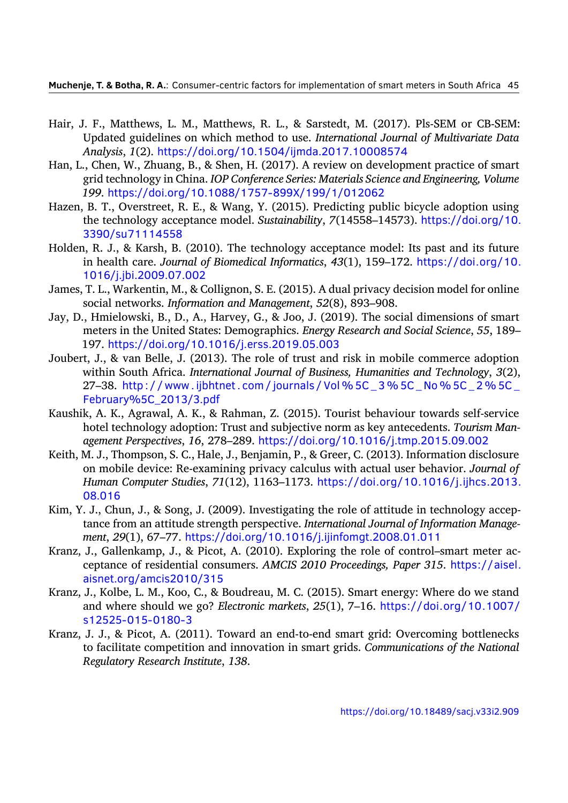- Hair, J. F., Matthews, L. M., Matthews, R. L., & Sarstedt, M. (2017). Pls-SEM or CB-SEM: Updated guidelines on which method to use. *International Journal of Multivariate Data Analysis*, *1*(2). https://doi.org/10.1504/ijmda.2017.10008574
- <span id="page-28-10"></span>Han, L., Chen, W., Zhuang, B., & Shen, H. (2017). A review on development practice of smart grid technology in China. *IOP Conference Series: Materials Science and Engineering, Volume 199*. https://d[oi.org/10.1088/1757-899X/199/1/012062](https://doi.org/10.1504/ijmda.2017.10008574)
- <span id="page-28-3"></span>Hazen, B. T., Overstreet, R. E., & Wang, Y. (2015). Predicting public bicycle adoption using the technology acceptance model. *Sustainability*, *7*(14558–14573). https://doi.org/10. 3390/su71114558
- <span id="page-28-8"></span>Holden, R. [J., & Karsh, B. \(2010\). The technology acceptance mo](https://doi.org/10.1088/1757-899X/199/1/012062)del: Its past and its future in health care. *Journal of Biomedical Informatics*, *43*(1), 159–172. [https://doi.org/10.](https://doi.org/10.3390/su71114558) [1016/j.jbi.2009.07.](https://doi.org/10.3390/su71114558)002
- <span id="page-28-7"></span>James, T. L., Warkentin, M., & Collignon, S. E. (2015). A dual privacy decision model for online social networks. *Information and Management*, *52*(8), 893–908.
- <span id="page-28-5"></span>Jay, D[., Hmielowski, B., D., A.,](https://doi.org/10.1016/j.jbi.2009.07.002) Harvey, G., & Joo, J. (2019). The social [dimensions of smart](https://doi.org/10.1016/j.jbi.2009.07.002) meters in the United States: Demographics. *Energy Research and Social Science*, *55*, 189– 197. https://doi.org/10.1016/j.erss.2019.05.003
- <span id="page-28-4"></span>Joubert, J., & van Belle, J. (2013). The role of trust and risk in mobile commerce adoption within South Africa. *International Journal of Business, Humanities and Technology*, *3*(2), 27-38. http://www.ijbhtnet.com/journals/Vol%5C\_3%5C\_No%5C\_2%5C\_ February%5C\_2013/3.pdf
- <span id="page-28-9"></span>Kaushik, A. K., Agrawal, A. K., & Rahman, Z. (2015). Tourist behaviour towards self-service hotel te[chnology adoption: Trust and subjective norm as key antecedents.](http://www.ijbhtnet.com/journals/Vol%5C_3%5C_No%5C_2%5C_February%5C_2013/3.pdf) *Tourism Man[agement Perspectives](http://www.ijbhtnet.com/journals/Vol%5C_3%5C_No%5C_2%5C_February%5C_2013/3.pdf)*, *16*, 278–289. https://doi.org/10.1016/j.tmp.2015.09.002
- <span id="page-28-11"></span>Keith, M. J., Thompson, S. C., Hale, J., Benjamin, P., & Greer, C. (2013). Information disclosure on mobile device: Re-examining privacy calculus with actual user behavior. *Journal of Human Computer Studies*, *71*(12), 1163–1173. [https://doi.org/10.1016/j.ijhcs.](https://doi.org/10.1016/j.tmp.2015.09.002)2013. 08.016
- <span id="page-28-6"></span>Kim, Y. J., Chun, J., & Song, J. (2009). Investigating the role of attitude in technology acceptance from an attitude strength perspective. *Int[ernational Journal of Information Manage](https://doi.org/10.1016/j.ijhcs.2013.08.016)[ment](https://doi.org/10.1016/j.ijhcs.2013.08.016)*, *29*(1), 67–77. https://doi.org/10.1016/j.ijinfomgt.2008.01.011
- <span id="page-28-12"></span>Kranz, J., Gallenkamp, J., & Picot, A. (2010). Exploring the role of control–smart meter acceptance of residential consumers. *AMCIS 2010 Proceedings, Paper 315*. https://aisel. aisnet.org/amcis2010/315
- <span id="page-28-0"></span>Kranz, J., Kolbe, L. M., Ko[o, C., & Boudreau, M. C. \(2015\). Smart energy: Whe](https://doi.org/10.1016/j.ijinfomgt.2008.01.011)re do we stand and where should we go? *Electronic markets*, *25*(1), 7–16. https://doi.o[rg/10.1007/](https://aisel.aisnet.org/amcis2010/315) [s12525-015-0180-3](https://aisel.aisnet.org/amcis2010/315)
- <span id="page-28-2"></span><span id="page-28-1"></span>Kranz, J. J., & Picot, A. (2011). Toward an end-to-end smart grid: Overcoming bottlenecks to facilitate competition and innovation in smart grids. *Co[mmunications of the National](https://doi.org/10.1007/s12525-015-0180-3) [Regulatory Research In](https://doi.org/10.1007/s12525-015-0180-3)stitute*, *138*.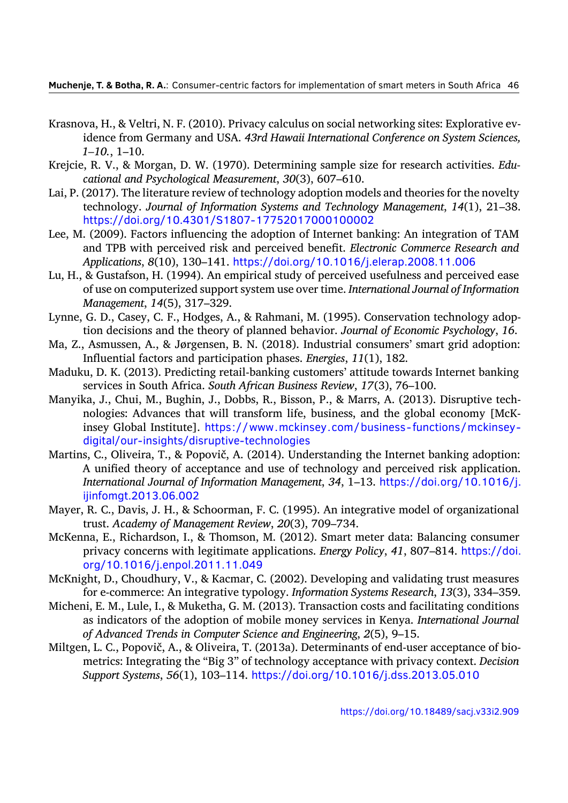- Krasnova, H., & Veltri, N. F. (2010). Privacy calculus on social networking sites: Explorative evidence from Germany and USA. *43rd Hawaii International Conference on System Sciences, 1–10.*, 1–10.
- <span id="page-29-12"></span>Krejcie, R. V., & Morgan, D. W. (1970). Determining sample size for research activities. *Educational and Psychological Measurement*, *30*(3), 607–610.
- Lai, P. (2017). The literature review of technology adoption models and theories for the novelty technology. *Journal of Information Systems and Technology Management*, *14*(1), 21–38. https://doi.org/10.4301/S1807-17752017000100002
- <span id="page-29-4"></span>Lee, M. (2009). Factors influencing the adoption of Internet banking: An integration of TAM and TPB with perceived risk and perceived benefit. *Electronic Commerce Research and Applications*, *8*(10), 130–141. [https://doi.org/10.1016/j.e](https://doi.org/10.4301/S1807-17752017000100002)lerap.2008.11.006
- <span id="page-29-7"></span>Lu, H., & Gustafson, H. (1994). An empirical study of perceived usefulness and perceived ease of use on computerized support system use over time. *International Journal of Information Management*, *14*(5), 317–329.
- <span id="page-29-8"></span>Lynne, G. D., Casey, C. F., Hodges, [A., & Rahmani, M. \(1995\). Conservation technolo](https://doi.org/10.1016/j.elerap.2008.11.006)gy adoption decisions and the theory of planned behavior. *Journal of Economic Psychology*, *16*.
- Ma, Z., Asmussen, A., & Jørgensen, B. N. (2018). Industrial consumers' smart grid adoption: Influential factors and participation phases. *Energies*, *11*(1), 182.
- <span id="page-29-2"></span>Maduku, D. K. (2013). Predicting retail-banking customers' attitude towards Internet banking services in South Africa. *South African Business Review*, *17*(3), 76–100.
- <span id="page-29-6"></span><span id="page-29-1"></span>Manyika, J., Chui, M., Bughin, J., Dobbs, R., Bisson, P., & Marrs, A. (2013). Disruptive technologies: Advances that will transform life, business, and the global economy [McKinsey Global Institute]. https://www.mckinsey.com/business-functions/mckinseydigital/our-insights/disruptive-technologies
- <span id="page-29-0"></span>Martins, C., Oliveira, T., & Popovič, A. (2014). Understanding the Internet banking adoption: A unified theory of acc[eptance and use of technology and perceived risk application.](https://www.mckinsey.com/business-functions/mckinsey-digital/our-insights/disruptive-technologies) *[International Journal of Information Manageme](https://www.mckinsey.com/business-functions/mckinsey-digital/our-insights/disruptive-technologies)nt*, *34*, 1–13. https://doi.org/10.1016/j. ijinfomgt.2013.06.002
- <span id="page-29-11"></span>Mayer, R. C., Davis, J. H., & Schoorman, F. C. (1995). An integrative model of organizational trust. *Academy of Management Review*, *20*(3), 709–734.
- <span id="page-29-9"></span>McKe[nna, E., Richardson, I., &](https://doi.org/10.1016/j.ijinfomgt.2013.06.002) Thomson, M. (2012). Smart met[er data: Balancing consumer](https://doi.org/10.1016/j.ijinfomgt.2013.06.002) privacy concerns with legitimate applications. *Energy Policy*, *41*, 807–814. https://doi. org/10.1016/j.enpol.2011.11.049
- <span id="page-29-13"></span>McKnight, D., Choudhury, V., & Kacmar, C. (2002). Developing and validating trust measures for e-commerce: An integrative typology. *Information Systems Research*, *13*([3\), 334–359.](https://doi.org/10.1016/j.enpol.2011.11.049)
- <span id="page-29-10"></span>Miche[ni, E. M., Lule, I., & Muketha, G. M. \(](https://doi.org/10.1016/j.enpol.2011.11.049)2013). Transaction costs and facilitating conditions as indicators of the adoption of mobile money services in Kenya. *International Journal of Advanced Trends in Computer Science and Engineering*, *2*(5), 9–15.
- <span id="page-29-5"></span><span id="page-29-3"></span>Miltgen, L. C., Popovič, A., & Oliveira, T. (2013a). Determinants of end-user acceptance of biometrics: Integrating the "Big 3" of technology acceptance with privacy context. *Decision Support Systems*, *56*(1), 103–114. https://doi.org/10.1016/j.dss.2013.05.010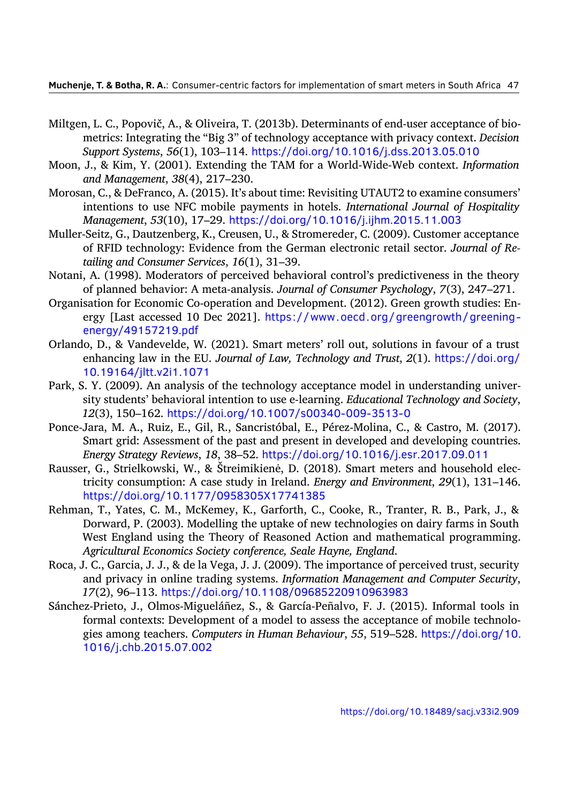- Miltgen, L. C., Popovič, A., & Oliveira, T. (2013b). Determinants of end-user acceptance of biometrics: Integrating the "Big 3" of technology acceptance with privacy context. *Decision Support Systems*, *56*(1), 103–114. https://doi.org/10.1016/j.dss.2013.05.010
- <span id="page-30-6"></span>Moon, J., & Kim, Y. (2001). Extending the TAM for a World-Wide-Web context. *Information and Management*, *38*(4), 217–230.
- <span id="page-30-8"></span>Morosan, C., & DeFranco, A. (2015). It's [about time: Revisiting UTAUT2 to examine con](https://doi.org/10.1016/j.dss.2013.05.010)sumers' intentions to use NFC mobile payments in hotels. *International Journal of Hospitality Management*, *53*(10), 17–29. https://doi.org/10.1016/j.ijhm.2015.11.003
- <span id="page-30-2"></span>Muller-Seitz, G., Dautzenberg, K., Creusen, U., & Stromereder, C. (2009). Customer acceptance of RFID technology: Evidence from the German electronic retail sector. *Journal of Retailing and Consumer Services*, *16*(1), 31–39.
- <span id="page-30-10"></span>Notani, A. (1998). Moderators of p[erceived behavioral control's predictiveness in](https://doi.org/10.1016/j.ijhm.2015.11.003) the theory of planned behavior: A meta-analysis. *Journal of Consumer Psychology*, *7*(3), 247–271.
- <span id="page-30-4"></span>Organisation for Economic Co-operation and Development. (2012). Green growth studies: Energy [Last accessed 10 Dec 2021]. https://www.oecd.org/greengrowth/greeningenergy/49157219.pdf
- <span id="page-30-0"></span>Orlando, D., & Vandevelde, W. (2021). Smart meters' roll out, solutions in favour of a trust enhancing law in the EU. *Journal o[f Law, Technology and Trust](https://www.oecd.org/greengrowth/greening-energy/49157219.pdf)*, *2*(1). https://doi.org/ [10.19164/jltt.v2i1.107](https://www.oecd.org/greengrowth/greening-energy/49157219.pdf)1
- <span id="page-30-12"></span>Park, S. Y. (2009). An analysis of the technology acceptance model in understanding university students' behavioral intention to use e-learning. *Educational Techn[ology and Society](https://doi.org/10.19164/jltt.v2i1.1071)*, *12*[\(3\), 150–162.](https://doi.org/10.19164/jltt.v2i1.1071) https://doi.org/10.1007/s00340-009-3513-0
- <span id="page-30-9"></span>Ponce-Jara, M. A., Ruiz, E., Gil, R., Sancristóbal, E., Pérez-Molina, C., & Castro, M. (2017). Smart grid: Assessment of the past and present in developed and developing countries. *Energy Strategy Reviews*, *18*, 38–52. [https://doi.org/10.1016/j.es](https://doi.org/10.1007/s00340-009-3513-0)r.2017.09.011
- <span id="page-30-11"></span>Rausser, G., Strielkowski, W., & Štreimikienė, D. (2018). Smart meters and household electricity consumption: A case study in Ireland. *Energy and Environment*, *29*(1), 131–146. https://doi.org/10.1177/0958305X17741385
- <span id="page-30-1"></span>Rehman, T., Yates, C. M., McKemey, K., [Garforth, C., Cooke, R., Tranter, R. B., Park,](https://doi.org/10.1016/j.esr.2017.09.011) J., & Dorward, P. (2003). Modelling the uptake of new technologies on dairy farms in South [West England using the Theory of Reasoned Ac](https://doi.org/10.1177/0958305X17741385)tion and mathematical programming. *Agricultural Economics Society conference, Seale Hayne, England*.
- <span id="page-30-3"></span>Roca, J. C., Garcia, J. J., & de la Vega, J. J. (2009). The importance of perceived trust, security and privacy in online trading systems. *Information Management and Computer Security*, *17*(2), 96–113. https://doi.org/10.1108/09685220910963983
- <span id="page-30-7"></span><span id="page-30-5"></span>Sánchez-Prieto, J., Olmos-Migueláñez, S., & García-Peñalvo, F. J. (2015). Informal tools in formal contexts: Development of a model to assess the acceptance of mobile technologies among teachers. *[Computers in Human Behaviour](https://doi.org/10.1108/09685220910963983)*, *55*, 519–528. https://doi.org/10. 1016/j.chb.2015.07.002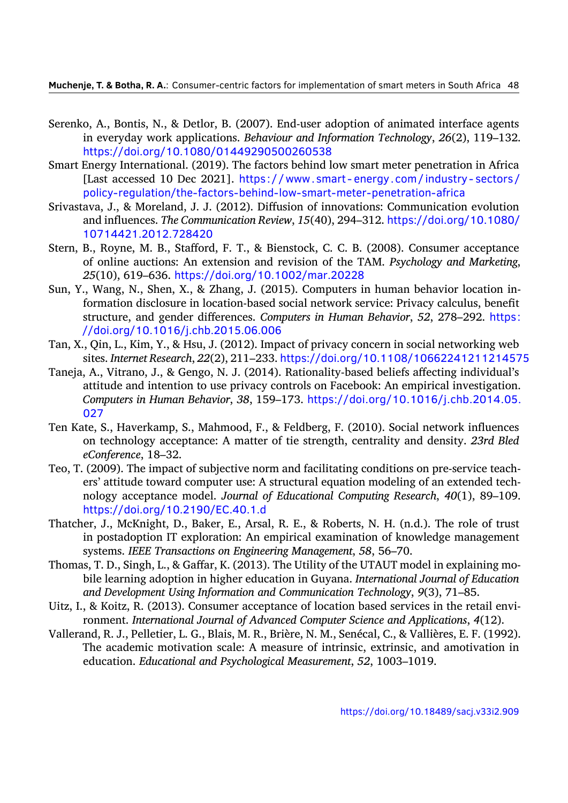- Serenko, A., Bontis, N., & Detlor, B. (2007). End-user adoption of animated interface agents in everyday work applications. *Behaviour and Information Technology*, *26*(2), 119–132. https://doi.org/10.1080/01449290500260538
- <span id="page-31-5"></span>Smart Energy International. (2019). The factors behind low smart meter penetration in Africa [Last accessed 10 Dec 2021]. https://www.smart- energy.com/industry- sectors/ [policy-regulation/the-factors-behind-low-smart-](https://doi.org/10.1080/01449290500260538)meter-penetration-africa
- <span id="page-31-9"></span>Srivastava, J., & Moreland, J. J. (2012). Diffusion of innovations: Communication evolution and influences. *The Communication Review*, *15*(40), 294–312. [https://doi.org/10.1080/](https://www.smart-energy.com/industry-sectors/policy-regulation/the-factors-behind-low-smart-meter-penetration-africa) 10714421.2012.728420
- <span id="page-31-2"></span>Stern, [B., Royne, M. B., Stafford, F. T., & Bienstock, C. C. B. \(2008\). Consumer a](https://www.smart-energy.com/industry-sectors/policy-regulation/the-factors-behind-low-smart-meter-penetration-africa)cceptance of online auctions: An extension and revision of the TAM. *[Psychology and Marketing](https://doi.org/10.1080/10714421.2012.728420)*, *25*[\(10\), 619–636.](https://doi.org/10.1080/10714421.2012.728420) https://doi.org/10.1002/mar.20228
- <span id="page-31-3"></span>Sun, Y., Wang, N., Shen, X., & Zhang, J. (2015). Computers in human behavior location information disclosure in location-based social network service: Privacy calculus, benefit structure, and gender differences. *[Computers in Human](https://doi.org/10.1002/mar.20228) Behavior*, *52*, 278–292. https: //doi.org/10.1016/j.chb.2015.06.006
- <span id="page-31-0"></span>Tan, X., Qin, L., Kim, Y., & Hsu, J. (2012). Impact of privacy concern in social networking web sites. *Internet Research*, *22*(2), 211–233. https://doi.org/10.1108/10662241211[21457](https://doi.org/10.1016/j.chb.2015.06.006)5
- <span id="page-31-6"></span>Tanej[a, A., Vitrano, J., & Gengo, N. J. \(2014\).](https://doi.org/10.1016/j.chb.2015.06.006) Rationality-based beliefs affecting individual's attitude and intention to use privacy controls on Facebook: An empirical investigation. *Computers in Human Behavior*, *38*, 159–173. [https://doi.org/10.1016/j.chb.2014.05.](https://doi.org/10.1108/10662241211214575) 027
- <span id="page-31-10"></span>Ten Kate, S., Haverkamp, S., Mahmood, F., & Feldberg, F. (2010). Social network influences on technology acceptance: A matter of tie [strength, centrality and density.](https://doi.org/10.1016/j.chb.2014.05.027) *23rd Bled [eCon](https://doi.org/10.1016/j.chb.2014.05.027)ference*, 18–32.
- <span id="page-31-7"></span>Teo, T. (2009). The impact of subjective norm and facilitating conditions on pre-service teachers' attitude toward computer use: A structural equation modeling of an extended technology acceptance model. *Journal of Educational Computing Research*, *40*(1), 89–109. https://doi.org/10.2190/EC.40.1.d
- <span id="page-31-11"></span>Thatcher, J., McKnight, D., Baker, E., Arsal, R. E., & Roberts, N. H. (n.d.). The role of trust in postadoption IT exploration: An empirical examination of knowledge management systems. *[IEEE Transactions on Enginee](https://doi.org/10.2190/EC.40.1.d)ring Management*, *58*, 56–70.
- <span id="page-31-8"></span>Thomas, T. D., Singh, L., & Gaffar, K. (2013). The Utility of the UTAUT model in explaining mobile learning adoption in higher education in Guyana. *International Journal of Education and Development Using Information and Communication Technology*, *9*(3), 71–85.
- Uitz, I., & Koitz, R. (2013). Consumer acceptance of location based services in the retail environment. *International Journal of Advanced Computer Science and Applications*, *4*(12).
- <span id="page-31-4"></span><span id="page-31-1"></span>Vallerand, R. J., Pelletier, L. G., Blais, M. R., Brière, N. M., Senécal, C., & Vallières, E. F. (1992). The academic motivation scale: A measure of intrinsic, extrinsic, and amotivation in education. *Educational and Psychological Measurement*, *52*, 1003–1019.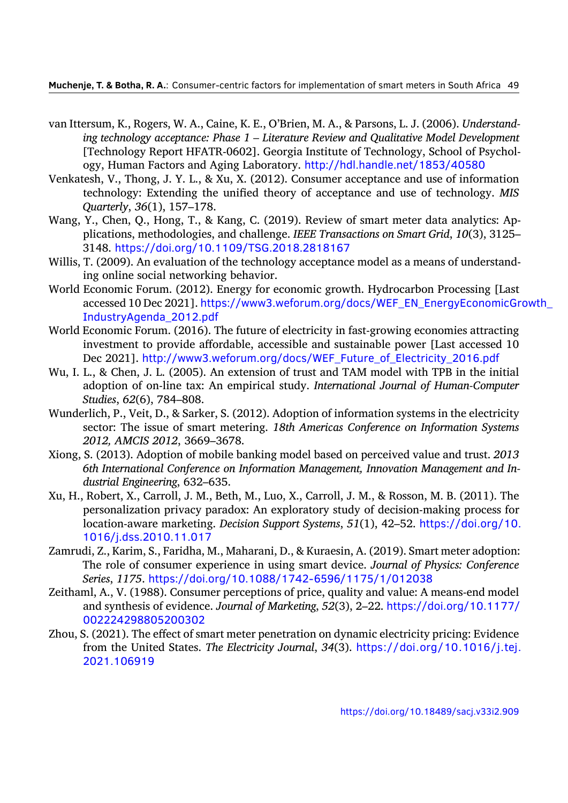- van Ittersum, K., Rogers, W. A., Caine, K. E., O'Brien, M. A., & Parsons, L. J. (2006). *Understanding technology acceptance: Phase 1 – Literature Review and Qualitative Model Development* [Technology Report HFATR-0602]. Georgia Institute of Technology, School of Psychology, Human Factors and Aging Laboratory. http://hdl.handle.net/1853/40580
- <span id="page-32-7"></span>Venkatesh, V., Thong, J. Y. L., & Xu, X. (2012). Consumer acceptance and use of information technology: Extending the unified theory of acceptance and use of technology. *MIS Quarterly*, *36*(1), 157–178.
- <span id="page-32-6"></span>Wang, Y., Chen, Q., Hong, T., & Kang, C. (2019). [Review of smart meter data analyti](http://hdl.handle.net/1853/40580)cs: Applications, methodologies, and challenge. *IEEE Transactions on Smart Grid*, *10*(3), 3125– 3148. https://doi.org/10.1109/TSG.2018.2818167
- <span id="page-32-2"></span>Willis, T. (2009). An evaluation of the technology acceptance model as a means of understanding online social networking behavior.
- World Econo[mic Forum. \(2012\). Energy for economic grow](https://doi.org/10.1109/TSG.2018.2818167)th. Hydrocarbon Processing [Last accessed 10 Dec 2021]. https://www3.weforum.org/docs/WEF\_EN\_EnergyEconomicGrowth\_ IndustryAgenda\_2012.pdf
- <span id="page-32-0"></span>World Economic Forum. (2016). The future of electricity in fast-growing economies attracting investment to provide [affordable, accessible and sustainable power \[Last accessed 10](https://www3.weforum.org/docs/WEF_EN_EnergyEconomicGrowth_IndustryAgenda_2012.pdf) Dec 2021]. [http://www3.w](https://www3.weforum.org/docs/WEF_EN_EnergyEconomicGrowth_IndustryAgenda_2012.pdf)eforum.org/docs/WEF\_Future\_of\_Electricity\_2016.pdf
- <span id="page-32-4"></span>Wu, I. L., & Chen, J. L. (2005). An extension of trust and TAM model with TPB in the initial adoption of on-line tax: An empirical study. *International Journal of Human-Computer Studies*, *62*(6), 784–808.
- <span id="page-32-5"></span>Wunderlich, P., Ve[it, D., & Sarker, S. \(2012\). Adoption of information systems in the electri](http://www3.weforum.org/docs/WEF_Future_of_Electricity_2016.pdf)city sector: The issue of smart metering. *18th Americas Conference on Information Systems 2012, AMCIS 2012*, 3669–3678.
- <span id="page-32-1"></span>Xiong, S. (2013). Adoption of mobile banking model based on perceived value and trust. *2013 6th International Conference on Information Management, Innovation Management and Industrial Engineering*, 632–635.
- <span id="page-32-8"></span>Xu, H., Robert, X., Carroll, J. M., Beth, M., Luo, X., Carroll, J. M., & Rosson, M. B. (2011). The personalization privacy paradox: An exploratory study of decision-making process for location-aware marketing. *Decision Support Systems*, *51*(1), 42–52. https://doi.org/10. 1016/j.dss.2010.11.017
- <span id="page-32-9"></span>Zamrudi, Z., Karim, S., Faridha, M., Maharani, D., & Kuraesin, A. (2019). Smart meter adoption: The role of consumer experience in using smart device. *Journal o[f Physics: Conference](https://doi.org/10.1016/j.dss.2010.11.017) Series*, *1175*. [https://doi.o](https://doi.org/10.1016/j.dss.2010.11.017)rg/10.1088/1742-6596/1175/1/012038
- <span id="page-32-3"></span>Zeithaml, A., V. (1988). Consumer perceptions of price, quality and value: A means-end model and synthesis of evidence. *Journal of Marketing*, *52*(3), 2–22. https://doi.org/10.1177/ 002224298805200302
- Zhou, S. (2021). Th[e effect of smart meter penetration on dynamic electricity p](https://doi.org/10.1088/1742-6596/1175/1/012038)ricing: Evidence from the United States. *The Electricity Journal*, *34*(3). https[://doi.org/10.1016/j.tej.](https://doi.org/10.1177/002224298805200302) [2021.106919](https://doi.org/10.1177/002224298805200302)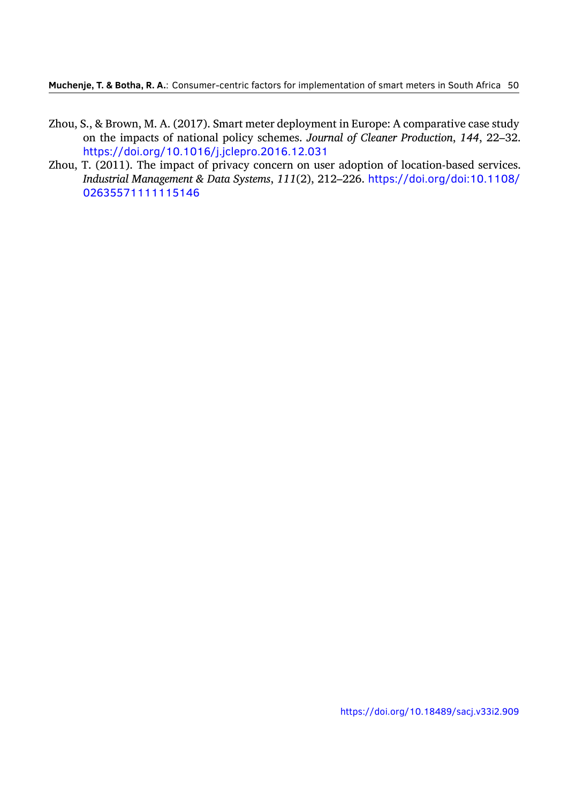- Zhou, S., & Brown, M. A. (2017). Smart meter deployment in Europe: A comparative case study on the impacts of national policy schemes. *Journal of Cleaner Production*, *144*, 22–32. https://doi.org/10.1016/j.jclepro.2016.12.031
- <span id="page-33-1"></span><span id="page-33-0"></span>Zhou, T. (2011). The impact of privacy concern on user adoption of location‐based services. *Industrial Management & Data Systems*, *111*(2), 212–226. https://doi.org/doi:10.1108/ [02635571111115146](https://doi.org/10.1016/j.jclepro.2016.12.031)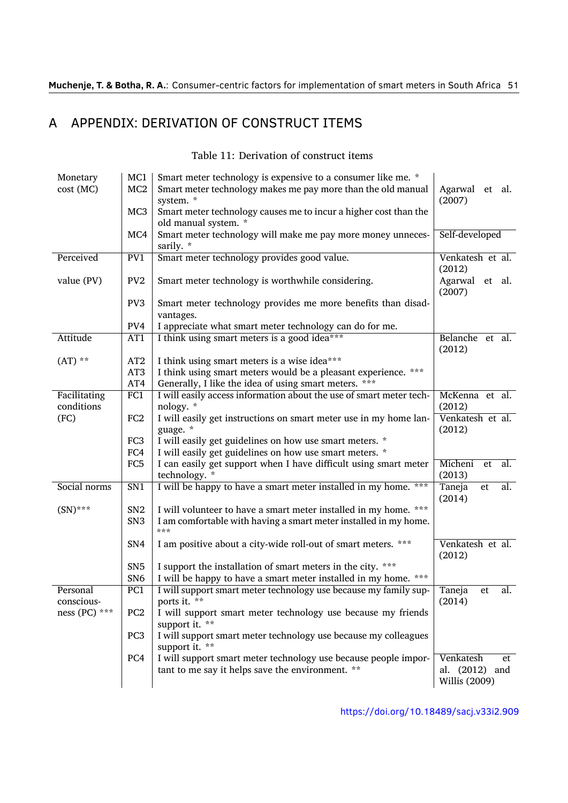## A APPENDIX: DERIVATION OF CONSTRUCT ITEMS

| Monetary<br>cost(MC)       | MC1<br>MC <sub>2</sub><br>MC <sub>3</sub> | Smart meter technology is expensive to a consumer like me. *<br>Smart meter technology makes me pay more than the old manual<br>system. *<br>Smart meter technology causes me to incur a higher cost than the | Agarwal et al.<br>(2007)                           |
|----------------------------|-------------------------------------------|---------------------------------------------------------------------------------------------------------------------------------------------------------------------------------------------------------------|----------------------------------------------------|
|                            | MC4                                       | old manual system. *<br>Smart meter technology will make me pay more money unneces-<br>sarily. *                                                                                                              | Self-developed                                     |
| Perceived                  | PV1                                       | Smart meter technology provides good value.                                                                                                                                                                   | Venkatesh et al.<br>(2012)                         |
| value (PV)                 | PV <sub>2</sub>                           | Smart meter technology is worthwhile considering.                                                                                                                                                             | Agarwal et al.<br>(2007)                           |
|                            | PV <sub>3</sub>                           | Smart meter technology provides me more benefits than disad-<br>vantages.                                                                                                                                     |                                                    |
|                            | PV4                                       | I appreciate what smart meter technology can do for me.                                                                                                                                                       |                                                    |
| Attitude                   | AT1                                       | I think using smart meters is a good idea***                                                                                                                                                                  | Belanche et al.<br>(2012)                          |
| $(AT)$ **                  | AT <sub>2</sub>                           | I think using smart meters is a wise idea***                                                                                                                                                                  |                                                    |
|                            | AT <sub>3</sub>                           | I think using smart meters would be a pleasant experience. ***                                                                                                                                                |                                                    |
|                            | AT4                                       | Generally, I like the idea of using smart meters. ***                                                                                                                                                         |                                                    |
| Facilitating<br>conditions | FC1                                       | I will easily access information about the use of smart meter tech-<br>nology. *                                                                                                                              | McKenna et al.<br>(2012)                           |
| (FC)                       | FC <sub>2</sub>                           | I will easily get instructions on smart meter use in my home lan-<br>guage. *                                                                                                                                 | Venkatesh et al.<br>(2012)                         |
|                            | FC <sub>3</sub>                           | I will easily get guidelines on how use smart meters. *                                                                                                                                                       |                                                    |
|                            | FC4                                       | I will easily get guidelines on how use smart meters. *                                                                                                                                                       |                                                    |
|                            | FC <sub>5</sub>                           | I can easily get support when I have difficult using smart meter                                                                                                                                              | Micheni<br>al.<br>et                               |
|                            |                                           | technology. *                                                                                                                                                                                                 | (2013)                                             |
| Social norms               | SN <sub>1</sub>                           | I will be happy to have a smart meter installed in my home.<br>***                                                                                                                                            | al.<br>Taneja<br>et<br>(2014)                      |
| $(SN)$ ***                 | SN <sub>2</sub>                           | I will volunteer to have a smart meter installed in my home. ***                                                                                                                                              |                                                    |
|                            | SN <sub>3</sub>                           | I am comfortable with having a smart meter installed in my home.<br>***                                                                                                                                       |                                                    |
|                            | SN4                                       | I am positive about a city-wide roll-out of smart meters. ***                                                                                                                                                 | Venkatesh et al.<br>(2012)                         |
|                            | SN <sub>5</sub>                           | I support the installation of smart meters in the city. ***                                                                                                                                                   |                                                    |
|                            | SN <sub>6</sub>                           | I will be happy to have a smart meter installed in my home. ***                                                                                                                                               |                                                    |
| Personal                   | PC1                                       | I will support smart meter technology use because my family sup-                                                                                                                                              | Taneja<br>al.<br>et                                |
| conscious-                 |                                           | ports it. **                                                                                                                                                                                                  | (2014)                                             |
| ness (PC) ***              | PC <sub>2</sub>                           | I will support smart meter technology use because my friends<br>support it. **                                                                                                                                |                                                    |
|                            | PC <sub>3</sub>                           | I will support smart meter technology use because my colleagues<br>support it. **                                                                                                                             |                                                    |
|                            | PC4                                       | I will support smart meter technology use because people impor-<br>tant to me say it helps save the environment. **                                                                                           | Venkatesh<br>et<br>al. (2012) and<br>Willis (2009) |

Table 11: Derivation of construct items

https://doi.org/10.18489/s[acj.v3](#page-32-6)3i2.909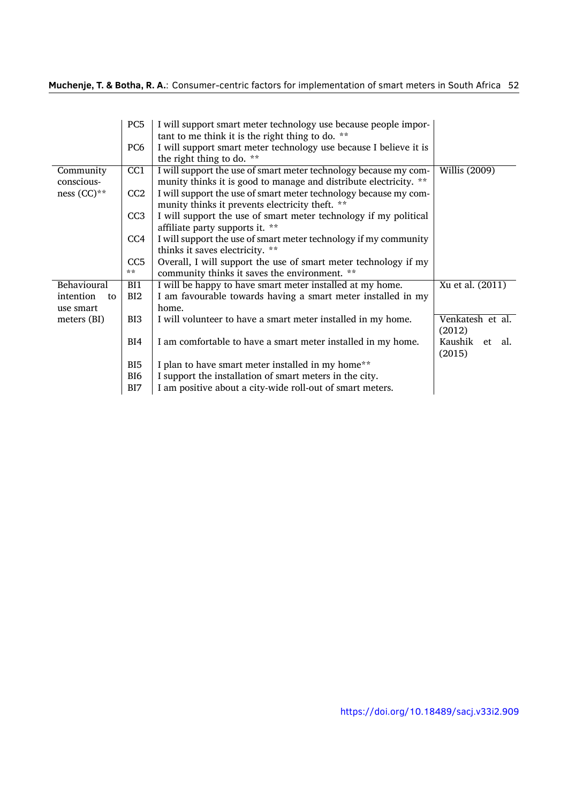|                 | PC <sub>5</sub> | I will support smart meter technology use because people impor-                                                       |                  |
|-----------------|-----------------|-----------------------------------------------------------------------------------------------------------------------|------------------|
|                 | PC <sub>6</sub> | tant to me think it is the right thing to do. **<br>I will support smart meter technology use because I believe it is |                  |
|                 |                 | the right thing to do. **                                                                                             |                  |
| Community       | CC <sub>1</sub> | I will support the use of smart meter technology because my com-                                                      | Willis (2009)    |
| conscious-      |                 | munity thinks it is good to manage and distribute electricity. **                                                     |                  |
| ness $(CC)**$   | CC2             | I will support the use of smart meter technology because my com-                                                      |                  |
|                 |                 | munity thinks it prevents electricity theft. **                                                                       |                  |
|                 | CC <sub>3</sub> | I will support the use of smart meter technology if my political                                                      |                  |
|                 |                 | affiliate party supports it. **                                                                                       |                  |
|                 | CC <sub>4</sub> | I will support the use of smart meter technology if my community                                                      |                  |
|                 |                 | thinks it saves electricity. **                                                                                       |                  |
|                 | CC <sub>5</sub> | Overall, I will support the use of smart meter technology if my                                                       |                  |
|                 | **              | community thinks it saves the environment. **                                                                         |                  |
| Behavioural     | BI1             | I will be happy to have smart meter installed at my home.                                                             | Xu et al. (2011) |
| intention<br>to | BI2             | I am favourable towards having a smart meter installed in my                                                          |                  |
| use smart       |                 | home.                                                                                                                 |                  |
| meters (BI)     | BI3             | I will volunteer to have a smart meter installed in my home.                                                          | Venkatesh et al. |
|                 |                 |                                                                                                                       | (2012)           |
|                 | BI4             | I am comfortable to have a smart meter installed in my home.                                                          | Kaushik et al.   |
|                 |                 |                                                                                                                       | (2015)           |
|                 | BI <sub>5</sub> | I plan to have smart meter installed in my home**                                                                     |                  |
|                 | BI <sub>6</sub> | I support the installation of smart meters in the city.                                                               |                  |
|                 | BI7             | I am positive about a city-wide roll-out of smart meters.                                                             |                  |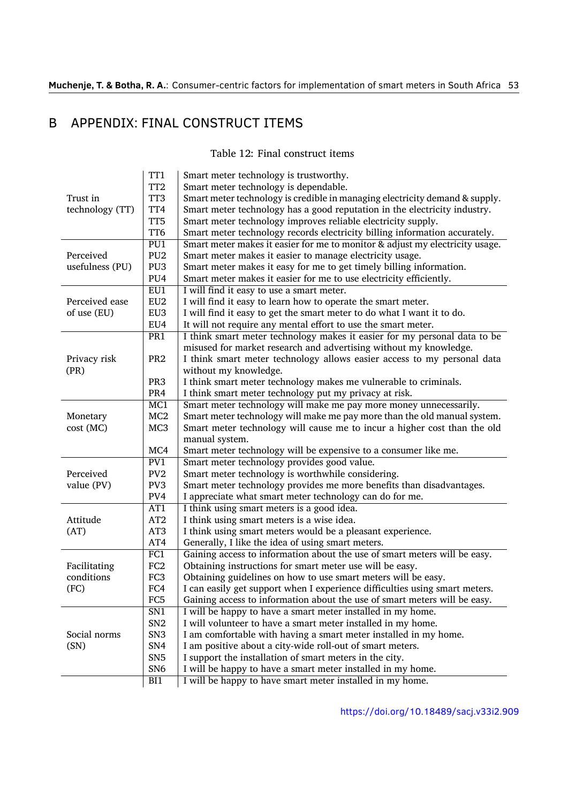## B APPENDIX: FINAL CONSTRUCT ITEMS

Table 12: Final construct items

|                                    | TT1              | Smart meter technology is trustworthy.                                       |  |  |  |
|------------------------------------|------------------|------------------------------------------------------------------------------|--|--|--|
|                                    | TT <sub>2</sub>  | Smart meter technology is dependable.                                        |  |  |  |
| Trust in                           | TT3              | Smart meter technology is credible in managing electricity demand & supply.  |  |  |  |
| technology (TT)                    | TT4              | Smart meter technology has a good reputation in the electricity industry.    |  |  |  |
|                                    | TT <sub>5</sub>  | Smart meter technology improves reliable electricity supply.                 |  |  |  |
|                                    | TT6              | Smart meter technology records electricity billing information accurately.   |  |  |  |
|                                    | PU1              | Smart meter makes it easier for me to monitor & adjust my electricity usage. |  |  |  |
| Perceived                          | PU <sub>2</sub>  | Smart meter makes it easier to manage electricity usage.                     |  |  |  |
| usefulness (PU)                    | PU <sub>3</sub>  | Smart meter makes it easy for me to get timely billing information.          |  |  |  |
|                                    | PU4              | Smart meter makes it easier for me to use electricity efficiently.           |  |  |  |
|                                    | EUI              | I will find it easy to use a smart meter.                                    |  |  |  |
| Perceived ease                     | EU <sub>2</sub>  | I will find it easy to learn how to operate the smart meter.                 |  |  |  |
| of use (EU)                        | EU <sub>3</sub>  | I will find it easy to get the smart meter to do what I want it to do.       |  |  |  |
|                                    | EU4              | It will not require any mental effort to use the smart meter.                |  |  |  |
|                                    | PR <sub>1</sub>  | I think smart meter technology makes it easier for my personal data to be    |  |  |  |
|                                    |                  | misused for market research and advertising without my knowledge.            |  |  |  |
| Privacy risk                       | PR <sub>2</sub>  | I think smart meter technology allows easier access to my personal data      |  |  |  |
| (PR)                               |                  | without my knowledge.                                                        |  |  |  |
|                                    | PR <sub>3</sub>  | I think smart meter technology makes me vulnerable to criminals.             |  |  |  |
|                                    | PR4              | I think smart meter technology put my privacy at risk.                       |  |  |  |
|                                    | MC1              | Smart meter technology will make me pay more money unnecessarily.            |  |  |  |
| Monetary                           | MC2              | Smart meter technology will make me pay more than the old manual system.     |  |  |  |
| cost (MC)                          | MC <sub>3</sub>  | Smart meter technology will cause me to incur a higher cost than the old     |  |  |  |
|                                    |                  | manual system.                                                               |  |  |  |
|                                    | MC4              | Smart meter technology will be expensive to a consumer like me.              |  |  |  |
|                                    | PV1              | Smart meter technology provides good value.                                  |  |  |  |
| Perceived                          | PV <sub>2</sub>  | Smart meter technology is worthwhile considering.                            |  |  |  |
| value (PV)                         | PV3              | Smart meter technology provides me more benefits than disadvantages.         |  |  |  |
|                                    | PV4              | I appreciate what smart meter technology can do for me.                      |  |  |  |
|                                    | AT1              | I think using smart meters is a good idea.                                   |  |  |  |
| Attitude<br>(AT)                   | AT <sub>2</sub>  | I think using smart meters is a wise idea.                                   |  |  |  |
|                                    | AT3              | I think using smart meters would be a pleasant experience.                   |  |  |  |
|                                    | AT4              | Generally, I like the idea of using smart meters.                            |  |  |  |
| Facilitating<br>conditions<br>(FC) | $\overline{FC1}$ | Gaining access to information about the use of smart meters will be easy.    |  |  |  |
|                                    | FC <sub>2</sub>  | Obtaining instructions for smart meter use will be easy.                     |  |  |  |
|                                    | FC <sub>3</sub>  | Obtaining guidelines on how to use smart meters will be easy.                |  |  |  |
|                                    | FC4              | I can easily get support when I experience difficulties using smart meters.  |  |  |  |
|                                    | FC <sub>5</sub>  | Gaining access to information about the use of smart meters will be easy.    |  |  |  |
|                                    | SN <sub>1</sub>  | I will be happy to have a smart meter installed in my home.                  |  |  |  |
|                                    | SN <sub>2</sub>  | I will volunteer to have a smart meter installed in my home.                 |  |  |  |
| Social norms                       | SN <sub>3</sub>  | I am comfortable with having a smart meter installed in my home.             |  |  |  |
| (SN)                               | SN4              | I am positive about a city-wide roll-out of smart meters.                    |  |  |  |
|                                    | SN <sub>5</sub>  | I support the installation of smart meters in the city.                      |  |  |  |
|                                    | SN <sub>6</sub>  | I will be happy to have a smart meter installed in my home.                  |  |  |  |
|                                    | BI1              | I will be happy to have smart meter installed in my home.                    |  |  |  |